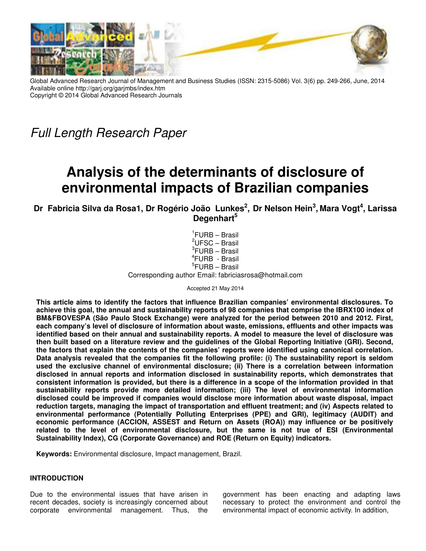

Global Advanced Research Journal of Management and Business Studies (ISSN: 2315-5086) Vol. 3(6) pp. 249-266, June, 2014 Available online http://garj.org/garjmbs/index.htm Copyright © 2014 Global Advanced Research Journals

Full Length Research Paper

# **Analysis of the determinants of disclosure of environmental impacts of Brazilian companies**

**Dr Fabricia Silva da Rosa1, Dr Rogério João Lunkes 2 , Dr Nelson Hein<sup>3</sup> , Mara Vogt<sup>4</sup> , Larissa Degenhart<sup>5</sup>**

> 1 FURB – Brasil  ${}^{2}$ UFSC – Brasil  ${}^{3}$ FURB – Brasil 4 FURB - Brasil 5 FURB – Brasil Corresponding author Email: fabriciasrosa@hotmail.com

> > Accepted 21 May 2014

**This article aims to identify the factors that influence Brazilian companies' environmental disclosures. To achieve this goal, the annual and sustainability reports of 98 companies that comprise the IBRX100 index of BM&FBOVESPA (São Paulo Stock Exchange) were analyzed for the period between 2010 and 2012. First, each company's level of disclosure of information about waste, emissions, effluents and other impacts was identified based on their annual and sustainability reports. A model to measure the level of disclosure was then built based on a literature review and the guidelines of the Global Reporting Initiative (GRI). Second, the factors that explain the contents of the companies' reports were identified using canonical correlation. Data analysis revealed that the companies fit the following profile: (i) The sustainability report is seldom used the exclusive channel of environmental disclosure; (ii) There is a correlation between information disclosed in annual reports and information disclosed in sustainability reports, which demonstrates that consistent information is provided, but there is a difference in a scope of the information provided in that sustainability reports provide more detailed information; (iii) The level of environmental information disclosed could be improved if companies would disclose more information about waste disposal, impact reduction targets, managing the impact of transportation and effluent treatment; and (iv) Aspects related to environmental performance (Potentially Polluting Enterprises (PPE) and GRI), legitimacy (AUDIT) and economic performance (ACCION, ASSEST and Return on Assets (ROA)) may influence or be positively related to the level of environmental disclosure, but the same is not true of ESI (Environmental Sustainability Index), CG (Corporate Governance) and ROE (Return on Equity) indicators.** 

**Keywords:** Environmental disclosure, Impact management, Brazil.

## **INTRODUCTION**

Due to the environmental issues that have arisen in recent decades, society is increasingly concerned about corporate environmental management. Thus, the

government has been enacting and adapting laws necessary to protect the environment and control the environmental impact of economic activity. In addition,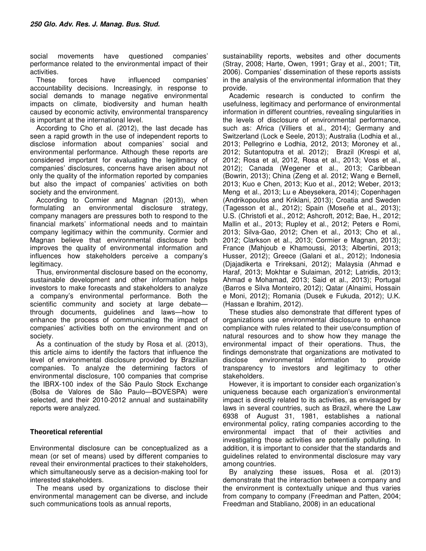social movements have questioned companies' performance related to the environmental impact of their activities.

These forces have influenced companies' accountability decisions. Increasingly, in response to social demands to manage negative environmental impacts on climate, biodiversity and human health caused by economic activity, environmental transparency is important at the international level.

According to Cho et al. (2012), the last decade has seen a rapid growth in the use of independent reports to disclose information about companies' social and environmental performance. Although these reports are considered important for evaluating the legitimacy of companies' disclosures, concerns have arisen about not only the quality of the information reported by companies but also the impact of companies' activities on both society and the environment.

According to Cormier and Magnan (2013), when formulating an environmental disclosure strategy, company managers are pressures both to respond to the financial markets' informational needs and to maintain company legitimacy within the community. Cormier and Magnan believe that environmental disclosure both improves the quality of environmental information and influences how stakeholders perceive a company's legitimacy.

Thus, environmental disclosure based on the economy, sustainable development and other information helps investors to make forecasts and stakeholders to analyze a company's environmental performance. Both the scientific community and society at large debatethrough documents, guidelines and laws—how to enhance the process of communicating the impact of companies' activities both on the environment and on society.

As a continuation of the study by Rosa et al. (2013), this article aims to identify the factors that influence the level of environmental disclosure provided by Brazilian companies. To analyze the determining factors of environmental disclosure, 100 companies that comprise the IBRX-100 index of the São Paulo Stock Exchange (Bolsa de Valores de São Paulo—BOVESPA) were selected, and their 2010-2012 annual and sustainability reports were analyzed.

## **Theoretical referential**

Environmental disclosure can be conceptualized as a mean (or set of means) used by different companies to reveal their environmental practices to their stakeholders, which simultaneously serve as a decision-making tool for interested stakeholders.

The means used by organizations to disclose their environmental management can be diverse, and include such communications tools as annual reports,

sustainability reports, websites and other documents (Stray, 2008; Harte, Owen, 1991; Gray et al., 2001; Tilt, 2006). Companies' dissemination of these reports assists in the analysis of the environmental information that they provide.

Academic research is conducted to confirm the usefulness, legitimacy and performance of environmental information in different countries, revealing singularities in the levels of disclosure of environmental performance, such as: Africa (Villiers et al., 2014); Germany and Switzerland (Lock e Seele, 2013); Australia (Lodhia et al., 2013; Pellegrino e Lodhia, 2012, 2013; Moroney et al., 2012; Sutantoputra et al. 2012); Brazil (Krespi et al, 2012; Rosa et al, 2012, Rosa et al., 2013; Voss et al., 2012); Canada (Wegener et al., 2013; Caribbean (Bowrin, 2013); China (Zeng et al. 2012; Wang e Bernell, 2013; Kuo e Chen, 2013; Kuo et al., 2012; Weber, 2013; Meng et al., 2013; Lu e Abeysekera, 2014); Copenhagen (Andrikopoulos and Kriklani, 2013); Croatia and Sweden (Tagesson et al., 2012); Spain (Moseñe et al., 2013); U.S. (Christofi et al., 2012; Ashcroft, 2012; Bae, H., 2012; Mallin et al., 2013; Rupley et al., 2012; Peters e Romi, 2013; Silva-Gao, 2012; Chen et al., 2013; Cho et al., 2012; Clarkson et al., 2013; Cormier e Magnan, 2013); France (Mahjoub e Khamoussi, 2013; Albertini, 2013; Husser, 2012); Greece (Galani et al., 2012); Indonesia (Djajadikerta e Trireksani, 2012); Malaysia (Ahmad e Haraf, 2013; Mokhtar e Sulaiman, 2012; Latridis, 2013; Ahmad e Mohamad, 2013; Said et al., 2013); Portugal (Barros e Silva Monteiro, 2012); Qatar (Alnaimi, Hossain e Moni, 2012); Romania (Dusek e Fukuda, 2012); U.K. (Hassan e Ibrahim, 2012).

These studies also demonstrate that different types of organizations use environmental disclosure to enhance compliance with rules related to their use/consumption of natural resources and to show how they manage the environmental impact of their operations. Thus, the findings demonstrate that organizations are motivated to disclose environmental information to provide transparency to investors and legitimacy to other stakeholders.

However, it is important to consider each organization's uniqueness because each organization's environmental impact is directly related to its activities, as envisaged by laws in several countries, such as Brazil, where the Law 6938 of August 31, 1981, establishes a national environmental policy, rating companies according to the environmental impact that of their activities and investigating those activities are potentially polluting. In addition, it is important to consider that the standards and guidelines related to environmental disclosure may vary among countries.

By analyzing these issues, Rosa et al. (2013) demonstrate that the interaction between a company and the environment is contextually unique and thus varies from company to company (Freedman and Patten, 2004; Freedman and Stabliano, 2008) in an educational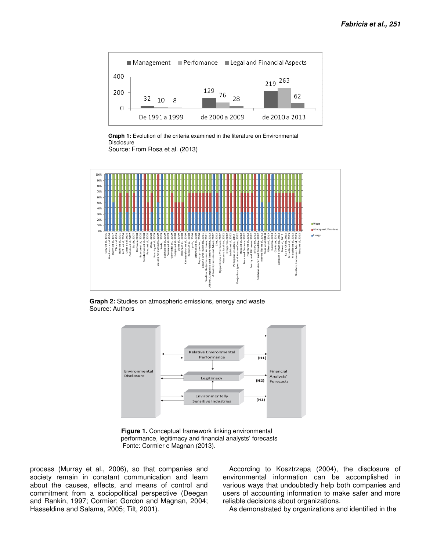

Graph 1: Evolution of the criteria examined in the literature on Environmental **Disclosure** Source: From Rosa et al. (2013)



**Graph 2:** Studies on atmospheric emissions, energy and waste Source: Authors



**Figure 1.** Conceptual framework linking environmental performance, legitimacy and financial analysts' forecasts Fonte: Cormier e Magnan (2013).

process (Murray et al., 2006), so that companies and society remain in constant communication and learn about the causes, effects, and means of control and commitment from a sociopolitical perspective (Deegan and Rankin, 1997; Cormier; Gordon and Magnan, 2004; Hasseldine and Salama, 2005; Tilt, 2001).

According to Kosztrzepa (2004), the disclosure of environmental information can be accomplished in various ways that undoubtedly help both companies and users of accounting information to make safer and more reliable decisions about organizations.

As demonstrated by organizations and identified in the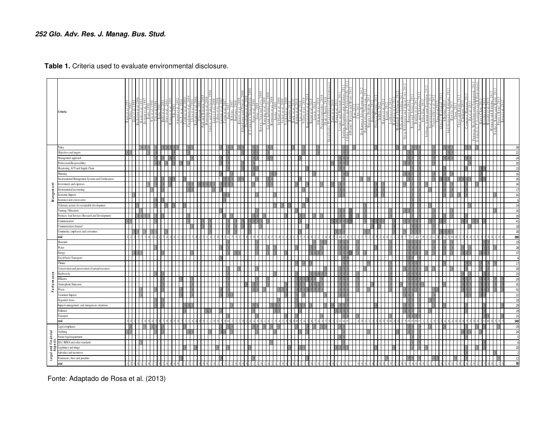**Table 1.** Criteria used to evaluate environmental disclosure.

|              | Criteria                                                                                                                                                                                                                                                                                                            |                 | $\frac{1}{2}$ uhr. |  | $\frac{c1a1.7}{2001}$<br>0 R V a | maral | Al-T, et al, 200<br>Cormier et al, 20 | Rahamanetal.<br>Oliveira, 200 | Park and B rosses<br>Bertolini et al.<br>nkins and Yakovl | Calixto e<br>Costa et<br>Daub, | Aliocino.<br>Bartiaux. |  | $\frac{1}{2}$ | N <sub>0</sub> |  |  | aratzo:<br>Kerre | $\frac{1 \times n \, \text{c.h.}}{0 \, \text{thm} \cdot \text{m}}$ |  | uisingh<br>ind Ant<br>ozano and H<br>1a.Reiindo | Pontra<br>nd M | e Barros e Sil<br>Diajadikerta<br>Hassan e I | is e Magi<br>Iodhia, 2 | Ηus | $\frac{\frac{165}{\text{Total in}}}{\frac{\text{Mean of}}{\text{Mean}}}}$ | and Aronizius and Armas-Cruz - 2012<br>2012 - Rodríguez and Armas-Cruz<br>2012 - Pellegrino e Lodhia | y et al.<br>Elkhaw<br>$\frac{d\vec{a}}{d\vec{b}}$ | ni, Amran and Zinuc<br>Sutantoputm et al. 2 | $\frac{1}{\sqrt{2}}\sum_{i=1}^{n}$ |  |  | Kuo e Chen, 2013<br>  Moseñe et al, 2013<br>  Moseñe et al, 2013<br>  Turguía and Böhilng, 2 |                          |                                  |
|--------------|---------------------------------------------------------------------------------------------------------------------------------------------------------------------------------------------------------------------------------------------------------------------------------------------------------------------|-----------------|--------------------|--|----------------------------------|-------|---------------------------------------|-------------------------------|-----------------------------------------------------------|--------------------------------|------------------------|--|---------------|----------------|--|--|------------------|--------------------------------------------------------------------|--|-------------------------------------------------|----------------|----------------------------------------------|------------------------|-----|---------------------------------------------------------------------------|------------------------------------------------------------------------------------------------------|---------------------------------------------------|---------------------------------------------|------------------------------------|--|--|----------------------------------------------------------------------------------------------|--------------------------|----------------------------------|
|              | Policy                                                                                                                                                                                                                                                                                                              |                 |                    |  |                                  |       |                                       |                               |                                                           |                                |                        |  |               |                |  |  |                  |                                                                    |  |                                                 |                |                                              |                        |     |                                                                           |                                                                                                      |                                                   |                                             |                                    |  |  |                                                                                              |                          |                                  |
|              | Objectives and targets                                                                                                                                                                                                                                                                                              | $1\quad1$       |                    |  |                                  |       |                                       |                               |                                                           |                                |                        |  |               |                |  |  |                  |                                                                    |  |                                                 |                |                                              |                        |     |                                                                           |                                                                                                      |                                                   |                                             |                                    |  |  |                                                                                              |                          | 21                               |
|              | Management approach                                                                                                                                                                                                                                                                                                 |                 |                    |  |                                  |       |                                       |                               |                                                           |                                |                        |  |               |                |  |  |                  |                                                                    |  |                                                 |                |                                              |                        |     |                                                                           |                                                                                                      |                                                   |                                             |                                    |  |  |                                                                                              |                          | $\overline{\mathbf{z}}$          |
|              | Professional Responsibility                                                                                                                                                                                                                                                                                         |                 |                    |  |                                  |       |                                       |                               |                                                           |                                |                        |  |               |                |  |  |                  |                                                                    |  |                                                 |                |                                              |                        |     |                                                                           |                                                                                                      |                                                   |                                             |                                    |  |  |                                                                                              |                          | $\overline{2}$                   |
|              | Monitoring, ACV and Supply Chain                                                                                                                                                                                                                                                                                    |                 |                    |  |                                  |       |                                       |                               |                                                           |                                |                        |  |               |                |  |  |                  |                                                                    |  |                                                 |                |                                              |                        |     |                                                                           |                                                                                                      |                                                   |                                             |                                    |  |  |                                                                                              |                          | $-11$                            |
|              | Planning                                                                                                                                                                                                                                                                                                            |                 |                    |  |                                  |       |                                       |                               |                                                           |                                |                        |  |               |                |  |  |                  |                                                                    |  |                                                 |                |                                              |                        |     |                                                                           |                                                                                                      |                                                   |                                             |                                    |  |  |                                                                                              |                          |                                  |
|              | Environmental Management Systems and Certifications                                                                                                                                                                                                                                                                 |                 |                    |  |                                  |       |                                       |                               |                                                           |                                |                        |  |               |                |  |  |                  |                                                                    |  |                                                 |                |                                              |                        |     |                                                                           |                                                                                                      |                                                   |                                             |                                    |  |  |                                                                                              |                          | $\overline{3}$<br>$\overline{3}$ |
|              | Investments and expenses                                                                                                                                                                                                                                                                                            |                 |                    |  |                                  |       |                                       |                               |                                                           |                                |                        |  |               |                |  |  |                  |                                                                    |  |                                                 |                |                                              |                        |     |                                                                           |                                                                                                      |                                                   |                                             |                                    |  |  |                                                                                              |                          | $\overline{1}$                   |
|              | Environmental accounting<br>Economic Impacts                                                                                                                                                                                                                                                                        |                 |                    |  |                                  |       |                                       |                               |                                                           |                                |                        |  |               |                |  |  |                  |                                                                    |  |                                                 |                |                                              |                        |     |                                                                           |                                                                                                      |                                                   |                                             |                                    |  |  |                                                                                              |                          |                                  |
| Mangement    | Insurance and concessions                                                                                                                                                                                                                                                                                           |                 |                    |  |                                  |       |                                       |                               |                                                           |                                |                        |  |               |                |  |  |                  |                                                                    |  |                                                 |                |                                              |                        |     |                                                                           |                                                                                                      |                                                   |                                             |                                    |  |  |                                                                                              |                          |                                  |
|              | Voluntary actions for sustainable development                                                                                                                                                                                                                                                                       |                 |                    |  |                                  |       |                                       |                               |                                                           |                                |                        |  |               |                |  |  |                  |                                                                    |  |                                                 |                |                                              |                        |     |                                                                           |                                                                                                      |                                                   |                                             |                                    |  |  |                                                                                              |                          |                                  |
|              | Training / Education                                                                                                                                                                                                                                                                                                |                 |                    |  |                                  |       |                                       |                               |                                                           |                                |                        |  |               |                |  |  |                  |                                                                    |  |                                                 |                |                                              |                        |     |                                                                           |                                                                                                      |                                                   |                                             |                                    |  |  |                                                                                              |                          | $\overline{1}$                   |
|              | Products And Services (Research and Development)                                                                                                                                                                                                                                                                    |                 |                    |  |                                  |       |                                       |                               |                                                           |                                |                        |  |               |                |  |  |                  |                                                                    |  |                                                 |                |                                              |                        |     |                                                                           |                                                                                                      |                                                   |                                             |                                    |  |  |                                                                                              |                          | $\overline{2}$                   |
|              | Communication                                                                                                                                                                                                                                                                                                       |                 |                    |  |                                  |       |                                       |                               |                                                           |                                |                        |  |               |                |  |  |                  |                                                                    |  |                                                 |                |                                              |                        |     |                                                                           |                                                                                                      |                                                   |                                             |                                    |  |  |                                                                                              |                          | $\overline{4}$                   |
|              | Communication channel                                                                                                                                                                                                                                                                                               |                 |                    |  |                                  |       |                                       |                               |                                                           |                                |                        |  |               |                |  |  |                  |                                                                    |  |                                                 |                |                                              |                        |     |                                                                           |                                                                                                      |                                                   |                                             |                                    |  |  |                                                                                              |                          | 11                               |
|              | Community, employees and consumers                                                                                                                                                                                                                                                                                  |                 |                    |  |                                  |       |                                       |                               |                                                           |                                |                        |  |               |                |  |  |                  |                                                                    |  |                                                 |                |                                              |                        |     |                                                                           |                                                                                                      |                                                   |                                             |                                    |  |  |                                                                                              |                          | $\overline{2}$                   |
|              | total                                                                                                                                                                                                                                                                                                               |                 |                    |  |                                  |       |                                       |                               |                                                           |                                |                        |  |               |                |  |  |                  |                                                                    |  |                                                 |                |                                              |                        |     |                                                                           |                                                                                                      |                                                   |                                             |                                    |  |  |                                                                                              |                          | 380                              |
|              | Materials                                                                                                                                                                                                                                                                                                           |                 |                    |  |                                  |       |                                       |                               |                                                           |                                |                        |  |               |                |  |  |                  |                                                                    |  |                                                 |                |                                              |                        |     |                                                                           |                                                                                                      |                                                   |                                             |                                    |  |  |                                                                                              |                          | 19                               |
|              | Water                                                                                                                                                                                                                                                                                                               |                 |                    |  |                                  |       |                                       |                               |                                                           |                                |                        |  |               |                |  |  |                  |                                                                    |  |                                                 |                |                                              |                        |     |                                                                           |                                                                                                      |                                                   |                                             |                                    |  |  |                                                                                              |                          | 28                               |
|              | Energy                                                                                                                                                                                                                                                                                                              |                 |                    |  |                                  |       |                                       |                               |                                                           |                                |                        |  |               |                |  |  |                  |                                                                    |  |                                                 |                |                                              |                        |     |                                                                           |                                                                                                      |                                                   |                                             |                                    |  |  |                                                                                              |                          | $\mathbf{r}$                     |
|              | Fossil Fuels (Transport)                                                                                                                                                                                                                                                                                            |                 |                    |  |                                  |       |                                       |                               |                                                           |                                |                        |  |               |                |  |  |                  |                                                                    |  |                                                 |                |                                              |                        |     |                                                                           |                                                                                                      |                                                   |                                             |                                    |  |  |                                                                                              |                          |                                  |
|              | Climate                                                                                                                                                                                                                                                                                                             |                 |                    |  |                                  |       |                                       |                               |                                                           |                                |                        |  |               |                |  |  |                  |                                                                    |  |                                                 |                |                                              |                        |     |                                                                           |                                                                                                      |                                                   |                                             |                                    |  |  |                                                                                              |                          |                                  |
|              | Conservation and preservation of natural resources                                                                                                                                                                                                                                                                  |                 |                    |  |                                  |       |                                       |                               |                                                           |                                |                        |  |               |                |  |  |                  |                                                                    |  |                                                 |                |                                              |                        |     |                                                                           |                                                                                                      |                                                   |                                             |                                    |  |  |                                                                                              |                          | $\overline{2}$                   |
| Perform ance | Biodiversity                                                                                                                                                                                                                                                                                                        |                 |                    |  |                                  |       |                                       |                               |                                                           |                                |                        |  |               |                |  |  |                  |                                                                    |  |                                                 |                |                                              |                        |     |                                                                           |                                                                                                      |                                                   |                                             |                                    |  |  |                                                                                              |                          | 23                               |
|              | <b>Effluents</b>                                                                                                                                                                                                                                                                                                    |                 |                    |  |                                  |       |                                       |                               |                                                           |                                |                        |  |               |                |  |  |                  |                                                                    |  |                                                 |                |                                              |                        |     |                                                                           |                                                                                                      |                                                   |                                             |                                    |  |  |                                                                                              |                          | 29                               |
|              | Atmospheric Emissions                                                                                                                                                                                                                                                                                               |                 |                    |  |                                  |       |                                       |                               |                                                           |                                |                        |  |               |                |  |  |                  |                                                                    |  |                                                 |                |                                              |                        |     |                                                                           |                                                                                                      |                                                   |                                             |                                    |  |  |                                                                                              |                          | $\overline{35}$                  |
|              | Waste                                                                                                                                                                                                                                                                                                               |                 |                    |  |                                  |       |                                       |                               |                                                           |                                |                        |  |               |                |  |  |                  |                                                                    |  |                                                 |                |                                              |                        |     |                                                                           |                                                                                                      |                                                   |                                             |                                    |  |  |                                                                                              |                          | $\overline{4}$                   |
|              | <b>Treatment Impacts</b><br>Degraded Areas                                                                                                                                                                                                                                                                          |                 |                    |  |                                  |       |                                       |                               |                                                           |                                |                        |  |               |                |  |  |                  |                                                                    |  |                                                 |                |                                              |                        |     |                                                                           |                                                                                                      |                                                   |                                             |                                    |  |  |                                                                                              |                          | $\overline{2}$<br>$\overline{1}$ |
|              | Impacts management and emergencies situations                                                                                                                                                                                                                                                                       |                 |                    |  |                                  |       |                                       |                               |                                                           |                                |                        |  |               |                |  |  |                  |                                                                    |  |                                                 |                |                                              |                        |     |                                                                           |                                                                                                      |                                                   |                                             |                                    |  |  |                                                                                              |                          | 2 <sup>0</sup>                   |
|              | Pollution                                                                                                                                                                                                                                                                                                           |                 |                    |  |                                  |       |                                       |                               |                                                           |                                |                        |  |               |                |  |  |                  |                                                                    |  |                                                 |                |                                              |                        |     |                                                                           |                                                                                                      |                                                   |                                             |                                    |  |  |                                                                                              |                          | 19                               |
|              | Transport                                                                                                                                                                                                                                                                                                           |                 |                    |  |                                  |       |                                       |                               |                                                           |                                |                        |  |               |                |  |  |                  |                                                                    |  |                                                 |                |                                              |                        |     |                                                                           |                                                                                                      |                                                   |                                             |                                    |  |  |                                                                                              |                          | 1!                               |
|              | total                                                                                                                                                                                                                                                                                                               |                 |                    |  |                                  |       |                                       |                               |                                                           |                                |                        |  |               |                |  |  |                  |                                                                    |  |                                                 |                |                                              |                        |     |                                                                           |                                                                                                      |                                                   |                                             |                                    |  |  |                                                                                              |                          |                                  |
|              | Legal compliance                                                                                                                                                                                                                                                                                                    |                 |                    |  |                                  |       |                                       |                               |                                                           |                                |                        |  |               |                |  |  |                  |                                                                    |  |                                                 |                |                                              |                        |     |                                                                           |                                                                                                      |                                                   |                                             |                                    |  |  |                                                                                              |                          | $\frac{349}{29}$                 |
|              |                                                                                                                                                                                                                                                                                                                     |                 |                    |  |                                  |       |                                       |                               |                                                           |                                |                        |  |               |                |  |  |                  |                                                                    |  |                                                 |                |                                              |                        |     |                                                                           |                                                                                                      |                                                   |                                             |                                    |  |  |                                                                                              |                          | 24                               |
|              | $\frac{1}{2}$ $\frac{1}{2}$ $\frac{1}{2}$ $\frac{1}{2}$ $\frac{1}{2}$ $\frac{1}{2}$ $\frac{1}{2}$ $\frac{1}{2}$ $\frac{1}{2}$ $\frac{1}{2}$ $\frac{1}{2}$ $\frac{1}{2}$ $\frac{1}{2}$ $\frac{1}{2}$ $\frac{1}{2}$ $\frac{1}{2}$ $\frac{1}{2}$ $\frac{1}{2}$ $\frac{1}{2}$ $\frac{1}{2}$ $\frac{1}{2}$ $\frac{1}{2}$ |                 |                    |  |                                  |       |                                       |                               |                                                           |                                |                        |  |               |                |  |  |                  |                                                                    |  |                                                 |                |                                              |                        |     |                                                                           |                                                                                                      |                                                   |                                             |                                    |  |  |                                                                                              |                          |                                  |
|              |                                                                                                                                                                                                                                                                                                                     |                 |                    |  |                                  |       |                                       |                               |                                                           |                                |                        |  |               |                |  |  |                  |                                                                    |  |                                                 |                |                                              |                        |     |                                                                           |                                                                                                      |                                                   |                                             |                                    |  |  |                                                                                              |                          |                                  |
|              |                                                                                                                                                                                                                                                                                                                     |                 |                    |  |                                  |       |                                       |                               |                                                           |                                |                        |  |               |                |  |  |                  |                                                                    |  |                                                 |                |                                              |                        |     |                                                                           |                                                                                                      |                                                   |                                             |                                    |  |  |                                                                                              |                          |                                  |
|              |                                                                                                                                                                                                                                                                                                                     |                 |                    |  |                                  |       |                                       |                               |                                                           |                                |                        |  |               |                |  |  |                  |                                                                    |  |                                                 |                |                                              |                        |     |                                                                           |                                                                                                      |                                                   |                                             |                                    |  |  |                                                                                              |                          |                                  |
|              |                                                                                                                                                                                                                                                                                                                     |                 |                    |  |                                  |       |                                       |                               |                                                           |                                |                        |  |               |                |  |  |                  |                                                                    |  |                                                 |                |                                              |                        |     |                                                                           |                                                                                                      |                                                   |                                             |                                    |  |  |                                                                                              |                          |                                  |
|              | total                                                                                                                                                                                                                                                                                                               | $1 \t2 \t0 \t0$ |                    |  |                                  |       |                                       |                               |                                                           |                                |                        |  |               |                |  |  |                  |                                                                    |  |                                                 |                |                                              |                        |     |                                                                           |                                                                                                      |                                                   |                                             |                                    |  |  |                                                                                              | $\overline{\phantom{a}}$ | Q                                |

Fonte: Adaptado de Rosa et al. (2013)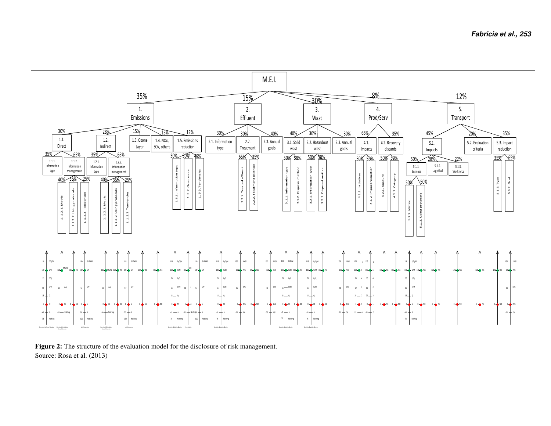

Figure 2: The structure of the evaluation model for the disclosure of risk management. Source: Rosa et al. (2013)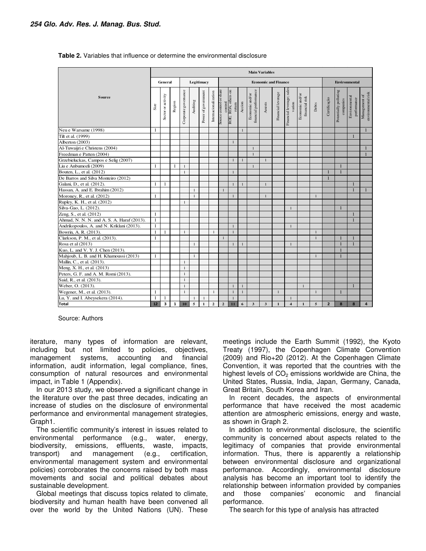|                                            |              |                    |             |                      |                |                     |                      |                                                           |                |              |                                          | <b>Main Variables</b>       |                          |                                     |                                   |              |                |                                    |                              |                                     |
|--------------------------------------------|--------------|--------------------|-------------|----------------------|----------------|---------------------|----------------------|-----------------------------------------------------------|----------------|--------------|------------------------------------------|-----------------------------|--------------------------|-------------------------------------|-----------------------------------|--------------|----------------|------------------------------------|------------------------------|-------------------------------------|
|                                            |              | General            |             |                      |                | Legitimacy          |                      |                                                           |                |              |                                          | <b>Economic and Finance</b> |                          |                                     |                                   |              |                | <b>Environmental</b>               |                              |                                     |
| <b>Source</b>                              | Size         | Sector or activity | Region      | Corporate governance | Auditing       | Power of government | Internacionalization | Source control or share<br>control<br>ROE; ROA; others on | return         | Accion       | financial performance<br>Economic and/or | Assests                     | <b>Hnancial</b> leverage | Financial leverage; sales<br>varion | Economic and/or<br>financial risk | Debts        | Certificação   | Potentially polluting<br>companies | Environmental<br>performance | anvironmental risk<br>Management of |
| Neu e Warsame (1998)                       | 1            |                    |             |                      |                |                     |                      |                                                           |                | $\mathbf{1}$ |                                          |                             |                          |                                     |                                   |              |                |                                    |                              | $\mathbf{1}$                        |
| Tilt et al. (1999)                         |              |                    |             |                      |                |                     |                      |                                                           |                |              |                                          |                             |                          |                                     |                                   |              |                |                                    | $\mathbf{1}$                 |                                     |
| Alberton (2003)                            |              |                    |             |                      |                |                     |                      |                                                           | $\mathbf{1}$   |              |                                          |                             |                          |                                     |                                   |              |                |                                    |                              |                                     |
| Al-Tuwaijri e Christens (2004)             |              |                    |             |                      |                |                     |                      |                                                           |                |              | $\mathbf{1}$                             |                             |                          |                                     |                                   |              |                |                                    |                              | $\mathbf{1}$                        |
| Freedman e Patten (2004)                   |              |                    |             |                      |                |                     |                      |                                                           |                |              | $\mathbf{1}$                             |                             |                          |                                     |                                   |              |                |                                    |                              | $\mathbf{1}$                        |
| Grzebieluckas, Campos e Selig (2007)       |              |                    |             |                      |                |                     |                      |                                                           | $\overline{1}$ |              |                                          | $\mathbf{1}$                |                          |                                     |                                   |              |                |                                    |                              |                                     |
| Liu e Anbumozli (2009)                     | 1            |                    | 1           | $\mathbf{1}$         |                |                     |                      |                                                           |                |              | $\mathbf{1}$                             |                             |                          |                                     |                                   |              |                | $\mathbf{1}$                       |                              |                                     |
| Bouten, L., et al. (2012)                  |              |                    |             | $\mathbf{1}$         |                |                     |                      |                                                           | $\mathbf{1}$   |              |                                          |                             |                          |                                     |                                   |              |                |                                    |                              |                                     |
| De Barros and Silva Monteiro (2012)        |              |                    |             |                      |                |                     |                      |                                                           |                |              |                                          |                             |                          |                                     |                                   |              |                |                                    |                              |                                     |
| Galani, D., et al. (2012).                 | 1            | $\mathbf{1}$       |             |                      |                |                     |                      |                                                           | $\mathbf{1}$   |              |                                          | $\mathbf{1}$                |                          |                                     |                                   |              |                |                                    | $\mathbf{1}$                 |                                     |
| Hassan, A. and E. Ibrahim (2012)           |              |                    |             |                      | $\mathbf{1}$   |                     |                      | $\mathbf{1}$                                              |                |              |                                          |                             |                          |                                     |                                   |              |                |                                    | $\mathbf{1}$                 | $\mathbf{1}$                        |
| Moroney, R., et al. (2012)                 | 1            |                    |             |                      | $\mathbf{1}$   |                     |                      |                                                           | $\mathbf{1}$   |              |                                          | $\mathbf{1}$                |                          |                                     |                                   | $\mathbf{1}$ |                |                                    |                              |                                     |
| Rupley, K. H., et al. (2012)               |              |                    |             | $\mathbf{1}$         |                |                     |                      |                                                           |                |              |                                          |                             |                          |                                     |                                   |              |                |                                    |                              |                                     |
| Silva-Gao, L. (2012).                      |              |                    |             |                      |                |                     |                      |                                                           |                |              |                                          |                             |                          | $\mathbf{1}$                        |                                   |              |                | $\mathbf{1}$                       |                              |                                     |
| Zeng, S., et al. (2012)                    | 1            |                    |             |                      |                |                     |                      |                                                           |                |              |                                          |                             |                          |                                     |                                   |              |                |                                    | $\mathbf{1}$                 |                                     |
| Ahmad, N. N. N. and A. S. A. Haraf (2013). | $\mathbf{1}$ |                    |             |                      |                |                     |                      |                                                           |                |              |                                          |                             |                          |                                     |                                   |              |                |                                    | $\mathbf{I}$                 |                                     |
| Andrikopoulos, A. and N. Kriklani (2013).  | $\mathbf{1}$ |                    |             |                      |                |                     |                      |                                                           | $\mathbf{1}$   |              |                                          |                             |                          | $\mathbf{1}$                        |                                   |              |                |                                    |                              |                                     |
| Bowrin, A. R. (2013).                      | $\mathbf{1}$ | $\mathbf{1}$       |             | $\mathbf{1}$         |                |                     | $\mathbf{1}$         |                                                           | $\mathbf{1}$   |              |                                          |                             |                          |                                     |                                   | $\mathbf{1}$ |                |                                    |                              |                                     |
| Clarkson, P. M., et al. (2013).            | 1            |                    |             |                      |                |                     |                      |                                                           |                |              |                                          |                             |                          |                                     |                                   | $\mathbf{1}$ |                |                                    | $\mathbf{1}$                 |                                     |
| Rosa et al (2013)                          |              |                    |             |                      | $\mathbf{1}$   |                     |                      |                                                           | $\mathbf{1}$   |              |                                          |                             |                          | $\mathbf{1}$                        |                                   |              |                | $\mathbf{1}$                       | $\mathbf{1}$                 |                                     |
| Kuo, L. and V. Y. J. Chen (2013).          |              |                    |             |                      |                |                     |                      |                                                           |                |              |                                          |                             |                          |                                     |                                   |              |                | ÷                                  |                              |                                     |
| Mahjoub, L. B. and H. Khamoussi (2013)     | 1            |                    |             |                      | $\mathbf{1}$   |                     |                      |                                                           |                |              |                                          |                             |                          |                                     |                                   | $\mathbf{1}$ |                |                                    |                              |                                     |
| Mallin, C., et al. (2013).                 |              |                    |             | 1                    |                |                     |                      |                                                           |                |              |                                          |                             |                          |                                     |                                   |              |                |                                    |                              |                                     |
| Meng, X. H., et al. (2013)                 |              |                    |             | $\mathbf{1}$         |                |                     |                      |                                                           |                |              |                                          |                             |                          |                                     |                                   |              |                |                                    |                              |                                     |
| Peters, G. F. and A. M. Romi (2013).       |              |                    |             | $\mathbf{1}$         |                |                     |                      |                                                           |                |              |                                          |                             |                          |                                     |                                   |              |                |                                    |                              |                                     |
| Said, R., et al. (2013).                   |              |                    |             | $\mathbf{1}$         |                |                     |                      |                                                           |                |              |                                          |                             |                          |                                     |                                   |              |                |                                    |                              |                                     |
| Weber, O. (2013).                          |              |                    |             | $\mathbf{1}$         |                |                     |                      |                                                           | $\mathbf{1}$   | $\mathbf{1}$ |                                          |                             |                          |                                     | $\overline{1}$                    |              |                |                                    | $\mathbf{1}$                 |                                     |
| Wegener, M., et al. (2013).                | 1            |                    |             | $\mathbf{1}$         |                |                     | $\mathbf{1}$         |                                                           | $\mathbf{1}$   | $\mathbf{1}$ |                                          |                             | $\mathbf{1}$             |                                     |                                   | $\mathbf{1}$ |                | 1                                  |                              |                                     |
| Lu, Y. and I. Abeysekera (2014).           | 1            | $\mathbf{1}$       |             |                      | $\mathbf{1}$   | -1                  |                      |                                                           | $\mathbf{1}$   |              |                                          |                             |                          | $\mathbf{1}$                        |                                   |              |                |                                    |                              |                                     |
| <b>Total</b>                               | 12           | 3                  | $\mathbf 1$ | 10                   | $\overline{5}$ | $\mathbf{1}$        | $\overline{2}$       | $\mathbf 2$                                               | 11             | 6            | $\mathbf{3}$                             | $\overline{\mathbf{3}}$     | $\mathbf 1$              | $\overline{\mathbf{4}}$             | $\mathbf{1}$                      | $\sqrt{5}$   | $\overline{2}$ | 8                                  | 8                            | $\overline{a}$                      |

#### **Table 2.** Variables that influence or determine the environmental disclosure

Source: Authors

iterature, many types of information are relevant, including but not limited to policies, objectives, management systems, accounting and financial information, audit information, legal compliance, fines, consumption of natural resources and environmental impact, in Table 1 (Appendix).

In our 2013 study, we observed a significant change in the literature over the past three decades, indicating an increase of studies on the disclosure of environmental performance and environmental management strategies, Graph1.

The scientific community's interest in issues related to environmental performance (e.g., water, energy, biodiversity, emissions, effluents, waste, impacts, transport) and management (e.g., certification, environmental management system and environmental policies) corroborates the concerns raised by both mass movements and social and political debates about sustainable development.

Global meetings that discuss topics related to climate, biodiversity and human health have been convened all over the world by the United Nations (UN). These

meetings include the Earth Summit (1992), the Kyoto Treaty (1997), the Copenhagen Climate Convention (2009) and Rio+20 (2012). At the Copenhagen Climate Convention, it was reported that the countries with the highest levels of  $CO<sub>2</sub>$  emissions worldwide are China, the United States, Russia, India, Japan, Germany, Canada, Great Britain, South Korea and Iran.

In recent decades, the aspects of environmental performance that have received the most academic attention are atmospheric emissions, energy and waste, as shown in Graph 2.

In addition to environmental disclosure, the scientific community is concerned about aspects related to the legitimacy of companies that provide environmental information. Thus, there is apparently a relationship between environmental disclosure and organizational performance. Accordingly, environmental disclosure analysis has become an important tool to identify the relationship between information provided by companies and those companies' economic and financial performance.

The search for this type of analysis has attracted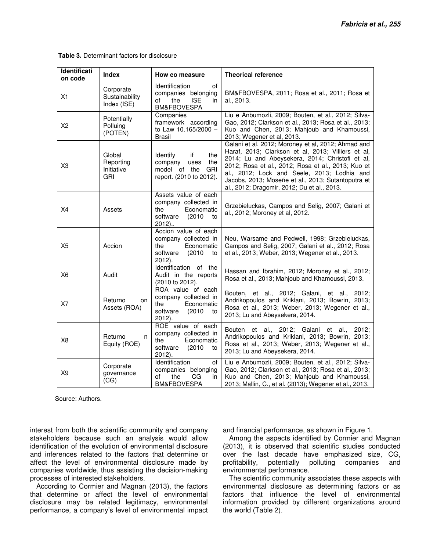| Identificati<br>on code | Index                                           | How eo measure                                                                                             | <b>Theorical reference</b>                                                                                                                                                                                                                                                                                                                                            |
|-------------------------|-------------------------------------------------|------------------------------------------------------------------------------------------------------------|-----------------------------------------------------------------------------------------------------------------------------------------------------------------------------------------------------------------------------------------------------------------------------------------------------------------------------------------------------------------------|
| X1                      | Corporate<br>Sustainability<br>Index (ISE)      | Identification<br>οf<br>companies belonging<br>the<br><b>ISE</b><br>of<br>in<br>BM&FBOVESPA                | BM&FBOVESPA, 2011; Rosa et al., 2011; Rosa et<br>al., 2013.                                                                                                                                                                                                                                                                                                           |
| X2                      | Potentially<br>Polluing<br>(POTEN)              | Companies<br>framework according<br>to Law 10.165/2000 -<br><b>Brasil</b>                                  | Liu e Anbumozli, 2009; Bouten, et al., 2012; Silva-<br>Gao, 2012; Clarkson et al., 2013; Rosa et al., 2013;<br>Kuo and Chen, 2013; Mahjoub and Khamoussi,<br>2013; Wegener et al, 2013.                                                                                                                                                                               |
| X <sub>3</sub>          | Global<br>Reporting<br>Initiative<br><b>GRI</b> | Identify<br>if<br>the<br>company<br>the<br>uses<br>model of the<br><b>GRI</b><br>report. (2010 to 2012).   | Galani et al. 2012; Moroney et al, 2012; Ahmad and<br>Haraf, 2013; Clarkson et al, 2013; Villiers et al,<br>2014; Lu and Abeysekera, 2014; Christofi et al,<br>2012; Rosa et al., 2012; Rosa et al., 2013; Kuo et<br>al., 2012; Lock and Seele, 2013; Lodhia and<br>Jacobs, 2013; Moseñe et al., 2013; Sutantoputra et<br>al., 2012; Dragomir, 2012; Du et al., 2013. |
| X4                      | Assets                                          | Assets value of each<br>company collected in<br>the<br>Economatic<br>software<br>(2010)<br>to<br>$2012$ )  | Grzebieluckas, Campos and Selig, 2007; Galani et<br>al., 2012; Moroney et al, 2012.                                                                                                                                                                                                                                                                                   |
| X5                      | Accion                                          | Accion value of each<br>company collected in<br>Economatic<br>the<br>(2010)<br>software<br>to<br>$2012$ ). | Neu, Warsame and Pedwell, 1998; Grzebieluckas,<br>Campos and Selig, 2007; Galani et al., 2012; Rosa<br>et al., 2013; Weber, 2013; Wegener et al., 2013.                                                                                                                                                                                                               |
| X <sub>6</sub>          | Audit                                           | Identification<br>of the<br>Audit in the reports<br>(2010 to 2012).                                        | Hassan and Ibrahim, 2012; Moroney et al., 2012;<br>Rosa et al., 2013; Mahjoub and Khamoussi, 2013.                                                                                                                                                                                                                                                                    |
| X7                      | Returno<br>on<br>Assets (ROA)                   | ROA value of each<br>company collected in<br>the<br>Economatic<br>software<br>(2010)<br>to<br>2012).       | Bouten, et al., 2012; Galani, et al., 2012;<br>Andrikopoulos and Kriklani, 2013; Bowrin, 2013;<br>Rosa et al., 2013; Weber, 2013; Wegener et al.,<br>2013; Lu and Abeysekera, 2014.                                                                                                                                                                                   |
| X <sub>8</sub>          | Returno<br>n<br>Equity (ROE)                    | ROE value of each<br>company collected in<br>the<br>Economatic<br>software<br>(2010)<br>to<br>2012).       | Bouten et al., 2012; Galani et al., 2012;<br>Andrikopoulos and Kriklani, 2013; Bowrin, 2013;<br>Rosa et al., 2013; Weber, 2013; Wegener et al.,<br>2013; Lu and Abeysekera, 2014.                                                                                                                                                                                     |
| X9                      | Corporate<br>governance<br>(CG)                 | Identification<br>οf<br>companies belonging<br>the<br>CG<br>of<br>in<br>BM&FBOVESPA                        | Liu e Anbumozli, 2009; Bouten, et al., 2012; Silva-<br>Gao, 2012; Clarkson et al., 2013; Rosa et al., 2013;<br>Kuo and Chen, 2013; Mahjoub and Khamoussi,<br>2013; Mallin, C., et al. (2013); Wegener et al., 2013.                                                                                                                                                   |

**Table 3.** Determinant factors for disclosure

Source: Authors.

interest from both the scientific community and company stakeholders because such an analysis would allow identification of the evolution of environmental disclosure and inferences related to the factors that determine or affect the level of environmental disclosure made by companies worldwide, thus assisting the decision-making processes of interested stakeholders.

According to Cormier and Magnan (2013), the factors that determine or affect the level of environmental disclosure may be related legitimacy, environmental performance, a company's level of environmental impact and financial performance, as shown in Figure 1.

Among the aspects identified by Cormier and Magnan (2013), it is observed that scientific studies conducted over the last decade have emphasized size, CG, profitability, potentially polluting companies and environmental performance.

The scientific community associates these aspects with environmental disclosure as determining factors or as factors that influence the level of environmental information provided by different organizations around the world (Table 2).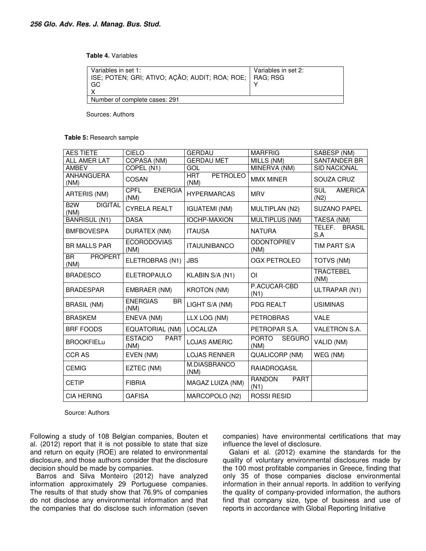**Table 4.** Variables

| Variables in set 1:<br>  ISE; POTEN; GRI; ATIVO; AÇÃO; AUDIT; ROA; ROE;   RAG; RSG<br>∣ GC | Variables in set 2: |
|--------------------------------------------------------------------------------------------|---------------------|
| Number of complete cases: 291                                                              |                     |

Sources: Authors

**Table 5:** Research sample

| <b>AES TIETE</b>                           | CIELO                                 | <b>GERDAU</b>                         | <b>MARFRIG</b>                        | SABESP (NM)                          |
|--------------------------------------------|---------------------------------------|---------------------------------------|---------------------------------------|--------------------------------------|
| <b>ALL AMER LAT</b>                        | COPASA (NM)                           | <b>GERDAU MET</b>                     | MILLS (NM)                            | SANTANDER BR                         |
| <b>AMBEV</b>                               | COPEL (N1)                            | GOL                                   | MINERVA (NM)                          | SID NACIONAL                         |
| <b>ANHANGUERA</b><br>(NM)                  | COSAN                                 | <b>PETROLEO</b><br><b>HRT</b><br>(NM) | <b>MMX MINER</b>                      | SOUZA CRUZ                           |
| ARTERIS (NM)                               | CPFL<br><b>ENERGIA</b><br>(NM)        | <b>HYPERMARCAS</b>                    | <b>MRV</b>                            | <b>SUL</b><br><b>AMERICA</b><br>(N2) |
| <b>DIGITAL</b><br>B <sub>2</sub> W<br>(NM) | <b>CYRELA REALT</b>                   | <b>IGUATEMI (NM)</b>                  | MULTIPLAN (N2)                        | <b>SUZANO PAPEL</b>                  |
| <b>BANRISUL (N1)</b>                       | <b>DASA</b>                           | <b>IOCHP-MAXION</b>                   | MULTIPLUS (NM)                        | TAESA (NM)                           |
| <b>BMFBOVESPA</b>                          | <b>DURATEX (NM)</b>                   | <b>ITAUSA</b>                         | <b>NATURA</b>                         | <b>BRASIL</b><br>TELEF.<br>S.A       |
| <b>BR MALLS PAR</b>                        | <b>ECORODOVIAS</b><br>(NM)            | <b>ITAUUNIBANCO</b>                   | <b>ODONTOPREV</b><br>(NM)             | TIM PART S/A                         |
| <b>BR</b><br><b>PROPERT</b><br>(NM)        | ELETROBRAS (N1)                       | <b>JBS</b>                            | OGX PETROLEO                          | TOTVS (NM)                           |
| <b>BRADESCO</b>                            | <b>ELETROPAULO</b>                    | KLABIN S/A (N1)                       | ΟI                                    | <b>TRACTEBEL</b><br>(NM)             |
| <b>BRADESPAR</b>                           | EMBRAER (NM)                          | <b>KROTON (NM)</b>                    | P.ACUCAR-CBD<br>(N1)                  | ULTRAPAR (N1)                        |
| <b>BRASIL (NM)</b>                         | <b>ENERGIAS</b><br><b>BR</b><br>(NM)  | LIGHT S/A (NM)                        | <b>PDG REALT</b>                      | <b>USIMINAS</b>                      |
| <b>BRASKEM</b>                             | ENEVA (NM)                            | LLX LOG (NM)                          | <b>PETROBRAS</b>                      | <b>VALE</b>                          |
| <b>BRF FOODS</b>                           | EQUATORIAL (NM)                       | <b>LOCALIZA</b>                       | PETROPAR S.A.                         | VALETRON S.A.                        |
| <b>BROOKFIELu</b>                          | <b>ESTACIO</b><br><b>PART</b><br>(NM) | <b>LOJAS AMERIC</b>                   | <b>PORTO</b><br><b>SEGURO</b><br>(NM) | VALID (NM)                           |
| <b>CCRAS</b>                               | EVEN (NM)                             | <b>LOJAS RENNER</b>                   | QUALICORP (NM)                        | WEG (NM)                             |
| <b>CEMIG</b>                               | EZTEC (NM)                            | M.DIASBRANCO<br>(NM)                  | <b>RAIADROGASIL</b>                   |                                      |
| <b>CETIP</b>                               | <b>FIBRIA</b>                         | MAGAZ LUIZA (NM)                      | <b>RANDON</b><br><b>PART</b><br>(N1)  |                                      |
| <b>CIA HERING</b>                          | <b>GAFISA</b>                         | MARCOPOLO (N2)                        | <b>ROSSI RESID</b>                    |                                      |

Source: Authors

Following a study of 108 Belgian companies, Bouten et al. (2012) report that it is not possible to state that size and return on equity (ROE) are related to environmental disclosure, and those authors consider that the disclosure decision should be made by companies.

Barros and Silva Monteiro (2012) have analyzed information approximately 29 Portuguese companies. The results of that study show that 76.9% of companies do not disclose any environmental information and that the companies that do disclose such information (seven companies) have environmental certifications that may influence the level of disclosure.

Galani et al. (2012) examine the standards for the quality of voluntary environmental disclosures made by the 100 most profitable companies in Greece, finding that only 35 of those companies disclose environmental information in their annual reports. In addition to verifying the quality of company-provided information, the authors find that company size, type of business and use of reports in accordance with Global Reporting Initiative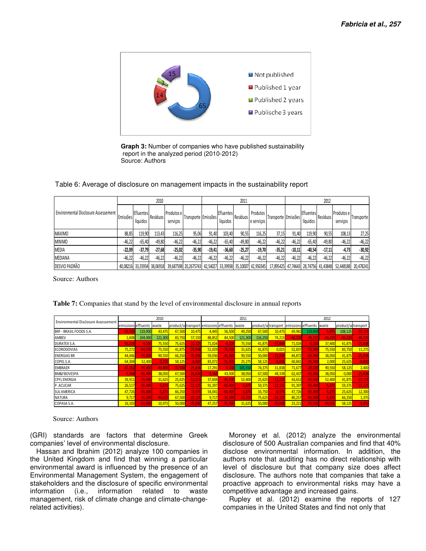

**Graph 3:** Number of companies who have published sustainability report in the analyzed period (2010-2012) Source: Authors

| Table 6: Average of disclosure on management impacts in the sustainability report |  |
|-----------------------------------------------------------------------------------|--|
|                                                                                   |  |

|                                      |          |                              | 2010            |                         |                                                                                      |          |                              | 2011            |                        |                                      |          |                              | 2012     |                        |            |
|--------------------------------------|----------|------------------------------|-----------------|-------------------------|--------------------------------------------------------------------------------------|----------|------------------------------|-----------------|------------------------|--------------------------------------|----------|------------------------------|----------|------------------------|------------|
| Environmental Disclosure Assessement | Emissões | <b>Efluentes</b><br>líquidos | <b>Resíduos</b> | Produtos el<br>servicos | Transporte Emissões                                                                  |          | <b>Efluentes</b><br>líquidos | <b>Resíduos</b> | Produtos<br>e servicos | Transporte Emissões                  |          | <b>Efluentes</b><br>líquidos | Resíduos | Produtos e<br>servicos | Transporte |
| <b>MAXIMO</b>                        | 88,85    | 119.90                       | 113.43          | 116,25                  | 95,06                                                                                | 91.40    | 103,40                       | 90,55           | 116,25                 | 37,15                                | 91.40    | 119,90                       | 90,55    | 108,13                 | 27,25      |
| <b>MINIMO</b>                        | $-46,22$ | $-65.40$                     | $-49,80$        | $-46,22$                | $-46,22$                                                                             | $-46,22$ | $-65,40$                     | $-49,80$        | $-46,22$               | $-46,22$                             | $-46,22$ | $-65.40$                     | $-49,80$ | $-46,22$               | $-46,22$   |
| <b>MEDIA</b>                         | $-22.09$ | $-37.79$                     | $-27,68$        | $-25,02$                | $-35,90$                                                                             | $-19.41$ | $-36,60$                     | -25,27          | $-19,70$               | $-35,21$                             | $-10,11$ | $-40,54$                     | $-17.11$ | -4,73                  | $-30,92$   |
| MEDIANA                              | $-46,22$ | $-46.22$                     | $-46,22$        | $-46,22$                | $-46,22$                                                                             | $-46.22$ | $-46.22$                     | -46,22          | $-46,22$               | $-46,22$                             | $-46,22$ | $-46.22$                     | $-46.22$ | $-46,22$               | $-46,22$   |
| <b>DESVIO PADRÃO</b>                 |          |                              |                 |                         | 40,08216 33,35934 38,06918 39,687598 20,2675743 42,54027 33,39938 35,10007 42,950345 |          |                              |                 |                        | 17,895425 47,74643 28,74756 41,43848 |          |                              |          | 52,448188              | 20,478241  |

Source: Authors

|                                      |           |                           | 2010      |                                               |           |          |           | 2011      |                     |           |                     |           | 2012      |                     |           |
|--------------------------------------|-----------|---------------------------|-----------|-----------------------------------------------|-----------|----------|-----------|-----------|---------------------|-----------|---------------------|-----------|-----------|---------------------|-----------|
| Environmental Disclosure Assessement |           | emissions effluents waste |           | product/setransport emissions effluents waste |           |          |           |           | product/setransport |           | emissions effluents |           | waste     | product/setransport |           |
| BRF - BRASIL FOODS S.A.              | $-15.66$  | 119,900                   | 43.475    | 67,500                                        | 10.475    | 4,445    | 56,500    | 49.250    | 67.500              | 10.475    | 69.982              | 119,900   | $-5,87$   | 108,125             | $-22,125$ |
| AMBEV                                | 1,608     | 104,900                   | 121,300   | 83,750                                        | 57,150    | 88,852   | 84,500    | 121,300   | 116,250             | 74,213    | $-46.220$           | $-46.220$ | $-46.220$ | $-46.220$           | $-46.220$ |
| <b>DURATEX S.A.</b>                  | 56,024    | $-6,10$                   | 75,550    | 75,625                                        | $-22,125$ | 71,024   | $-6.10$   | 75,550    | 41,875              | $-25,835$ | 71,024              | $-6,100$  | 37,400    | 41,875              | $-25,835$ |
| <b>ECORODOVIAS</b>                   | 75,272    | $-41,500$                 | 75,550    | 41,875                                        | $-25.838$ | 51,029   | $-55.50$  | 31,625    | 41,875              | 0,025     | 52,837              | $-55,50$  | 75,550    | 83,750              | 11,275    |
| <b>ENERGIAS BR</b>                   | 44,446    | $-55,50$                  | 90,550    | 66,250                                        | $-25.838$ | 59,036   | $-41,50$  | 90,550    | 50,000              | $-25,838$ | 84,872              | -65,4     | 38,050    | 41,875              | $-25,838$ |
| COPEL S.A.                           | 64,304    | 52,400                    | $-3.25C$  | 58,125                                        | $-8,850$  | 83.072   | $-55,50$  | 25.275    | 58,125              | $-8.85$   | 60,841              | $-41.500$ | 2,000     | 25,625              | $-8,850$  |
| <b>EMBRAER</b>                       | $-45,052$ | $-65,400$                 | $-49.800$ | $-32,500$                                     | $-25.83$  | 17,291   | -6.10     | 105,550   | 74,375              | 31,838    | 71,677              | $-20.100$ | 90,550    | 58,125              | 2,400     |
| <b>BM&amp;FBOVESPA</b>               | $-9,368$  | -65,40                    | 38,050    | 67,500                                        | $-25,838$ | $-9,368$ | 43,500    | 38,050    | 67,500              | 48,338    | 62,437              | $-65,400$ | 38,050    | 0,000               | $-25,838$ |
| <b>CPFLENERGIA</b>                   | 39,911    | $-55,500$                 | 31,625    | 25,625                                        | $-12.225$ | 37,604   | $-41.50$  | 52,400    | 25,625              | $-12,225$ | 43,652              | $-55,500$ | 52,400    | 41,875              | $-22,125$ |
| P. ACUCAR                            | 26,517    | $-65,400$                 | $-5,875$  | 75,625                                        | -22,125   | 91,397   | $-65,400$ | $-5,875$  | 59,375              | $-22,125$ | 91,397              | $-65,400$ | $-5,875$  | 59,375              | $-22,125$ |
| <b>SUL AMERICA</b>                   | 47,726    | $-65,400$                 | $-5,875$  | 66,250                                        | $-0.975$  | 54,041   | $-65.400$ | $-5.875$  | 33.750              | $-0.975$  | 47.726              | $-65.400$ | $-5,87$   | 25,625              | 12,300    |
| <b>NATURA</b>                        | 9,717     | $-55,500$                 | $-44.025$ | 67,500                                        | $-22,125$ | 9,717    | $-55,500$ | $-21,525$ | 75,625              | $-22,125$ | 80,257              | $-41.500$ | $-5.87$   | 66,250              | 1,375     |
| COPASA S.A.                          | 16,103    | $-51,400$                 | 10,975    | 50,000                                        | $-25.838$ | 47,257   | $-55.50$  | 31,625    | 50,000              | $-25.835$ | 23,221              | $-55,500$ | $-44.02!$ | 58,125              | $-8,850$  |

**Table 7:** Companies that stand by the level of environmental disclosure in annual reports

Source: Authors

(GRI) standards are factors that determine Greek companies' level of environmental disclosure.

Hassan and Ibrahim (2012) analyze 100 companies in the United Kingdom and find that winning a particular environmental award is influenced by the presence of an Environmental Management System, the engagement of stakeholders and the disclosure of specific environmental information (i.e., information related to waste management, risk of climate change and climate-changerelated activities).

Moroney et al. (2012) analyze the environmental disclosure of 500 Australian companies and find that 40% disclose environmental information. In addition, the authors note that auditing has no direct relationship with level of disclosure but that company size does affect disclosure. The authors note that companies that take a proactive approach to environmental risks may have a competitive advantage and increased gains.

Rupley et al. (2012) examine the reports of 127 companies in the United States and find not only that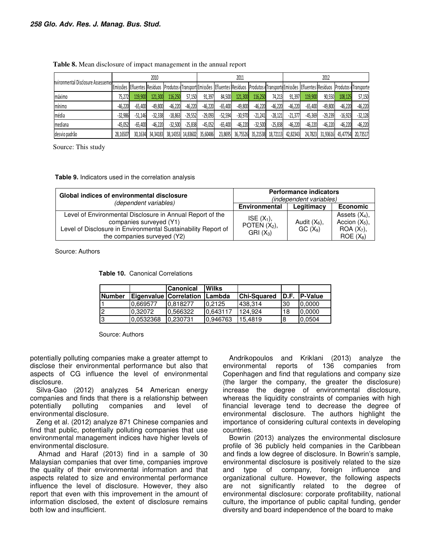|                                    |                 |           | 2010      |           |           |                            |           | 2011             |           |           |           |           | 2012      |                                                                                                                                                  |           |
|------------------------------------|-----------------|-----------|-----------|-----------|-----------|----------------------------|-----------|------------------|-----------|-----------|-----------|-----------|-----------|--------------------------------------------------------------------------------------------------------------------------------------------------|-----------|
| nvironmental Disclosure Assessemer |                 |           |           |           |           |                            |           |                  |           |           |           |           |           | Emissões Efluentes Resíduos Produtos dTransport Emissões Efluentes Resíduos Produtos dTransport Emissões Efluentes Resíduos Produtos dTransporte |           |
| Imáximo                            | 75.272 <b>1</b> | 119,900   | 121,300   | 116.250   | 57,150    | 91,397                     | 84,500    | 121,300          | 116.250   | 74.213    | 91,397    | 119.900   | 90.550    | 108.125                                                                                                                                          | 57,150    |
| mínimo                             | $-46.220$       | $-65.400$ | $-49,800$ | $-46.220$ | $-46.220$ | $-46.220$                  | $-65,400$ | $-49.800$        | $-46.220$ | $-46.220$ | $-46.220$ | $-65.400$ | $-49,800$ | $-46.220$                                                                                                                                        | $-46,220$ |
| Imédia                             | $-32.986$       | $-51.146$ | $-32.338$ | $-18.863$ | $-29.552$ | $-29.093$                  | $-52.594$ | $-30.970$        | $-21.241$ | $-28.121$ | $-21.377$ | $-45.369$ | $-29.239$ | $-16.923$                                                                                                                                        | $-32,128$ |
| mediana                            | $-45.052$       | $-65.400$ | $-46.220$ | $-32.500$ | $-25.838$ | $-45.052$                  | $-65.400$ | $-46.220$        | $-32.500$ | $-25.838$ | $-46.220$ | $-46.220$ | $-46.220$ | $-46.220$                                                                                                                                        | $-46,220$ |
| desvio padrão                      | 28,16507        | 30,1634   | 34,34183  |           |           | 38,14353 14,83602 35,60486 |           | 23,8695 36,75526 | 35,21538  | 18,72113  | 42,82343  |           |           | 24,7823 31,93616 45,47754                                                                                                                        | 20.73517  |

|  | Table 8. Mean disclosure of impact management in the annual report |  |  |  |  |  |
|--|--------------------------------------------------------------------|--|--|--|--|--|
|  |                                                                    |  |  |  |  |  |

Source: This study

**Table 9.** Indicators used in the correlation analysis

| Global indices of environmental disclosure<br>(dependent variables)                                                                                                                  |                                               | <b>Performance indicators</b><br><i>(independent variables)</i> |                                                                    |
|--------------------------------------------------------------------------------------------------------------------------------------------------------------------------------------|-----------------------------------------------|-----------------------------------------------------------------|--------------------------------------------------------------------|
|                                                                                                                                                                                      | <b>Environmental</b>                          | Legitimacy                                                      | <b>Economic</b>                                                    |
| Level of Environmental Disclosure in Annual Report of the<br>companies surveyed (Y1)<br>Level of Disclosure in Environmental Sustainability Report of<br>the companies surveyed (Y2) | $ISE(X_1)$ ,<br>POTEN $(X_2)$ ,<br>$GRI(X_3)$ | Audit $(X_6)$ ,<br>GC(X <sub>9</sub> )                          | Assets $(X_4)$ ,<br>Accion $(X_5)$ ,<br>$ROA (X7)$ ,<br>$ROE(X_8)$ |

Source: Authors

**Table 10.** Canonical Correlations

|               |           | <b>Canonical</b>              | Wilks    |                    |       |                |
|---------------|-----------|-------------------------------|----------|--------------------|-------|----------------|
| <b>Number</b> |           | <b>Eigenvalue Correlation</b> | Lambda   | <b>Chi-Squared</b> | ID.F. | <b>P-Value</b> |
|               | 0.669577  | 10.818277                     | 0.2125   | 438.314            | l30   | 0.0000         |
|               | 0.32072   | 0.566322                      | 0.643117 | 124.924            | 18    | 0.0000         |
| IЗ            | 0.0532368 | 10.230731                     | 0.946763 | 15.4819            |       | 0.0504         |

Source: Authors

potentially polluting companies make a greater attempt to disclose their environmental performance but also that aspects of CG influence the level of environmental disclosure.

Silva-Gao (2012) analyzes 54 American energy companies and finds that there is a relationship between potentially polluting companies and level of environmental disclosure.

Zeng et al. (2012) analyze 871 Chinese companies and find that public, potentially polluting companies that use environmental management indices have higher levels of environmental disclosure.

 Ahmad and Haraf (2013) find in a sample of 30 Malaysian companies that over time, companies improve the quality of their environmental information and that aspects related to size and environmental performance influence the level of disclosure. However, they also report that even with this improvement in the amount of information disclosed, the extent of disclosure remains both low and insufficient.

Andrikopoulos and Kriklani (2013) analyze the environmental reports of 136 companies from Copenhagen and find that regulations and company size (the larger the company, the greater the disclosure) increase the degree of environmental disclosure, whereas the liquidity constraints of companies with high financial leverage tend to decrease the degree of environmental disclosure. The authors highlight the importance of considering cultural contexts in developing countries.

Bowrin (2013) analyzes the environmental disclosure profile of 36 publicly held companies in the Caribbean and finds a low degree of disclosure. In Bowrin's sample, environmental disclosure is positively related to the size and type of company, foreign influence and organizational culture. However, the following aspects are not significantly related to the degree of environmental disclosure: corporate profitability, national culture, the importance of public capital funding, gender diversity and board independence of the board to make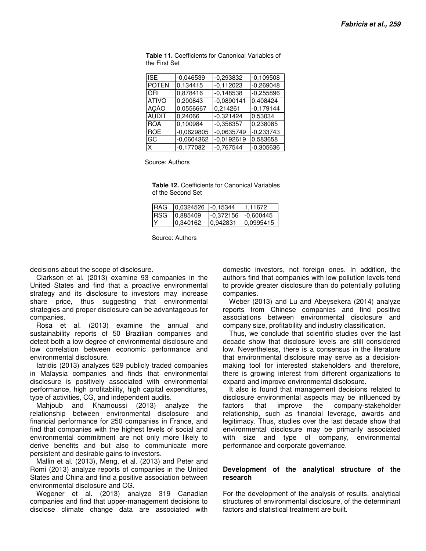| <b>ISE</b>   | $-0.046539$  | $-0.293832$  | $-0,109508$ |
|--------------|--------------|--------------|-------------|
| <b>POTEN</b> | 0,134415     | $-0,112023$  | $-0,269048$ |
| GRI          | 0.878416     | $-0.148538$  | $-0.255896$ |
| <b>ATIVO</b> | 0,200843     | $-0.0890141$ | 0,408424    |
| <b>ACÃO</b>  | 0,0556667    | 0,214261     | $-0,179144$ |
| <b>AUDIT</b> | 0,24066      | $-0,321424$  | 0,53034     |
| <b>ROA</b>   | 0,100984     | $-0,358357$  | 0,238085    |
| <b>ROE</b>   | $-0.0629805$ | $-0.0635749$ | $-0,233743$ |
| GC           | $-0.0604362$ | $-0.0192619$ | 0,583658    |
| X.           | $-0.177082$  | $-0.767544$  | $-0,305636$ |

**Table 11.** Coefficients for Canonical Variables of the First Set

Source: Authors

**Table 12.** Coefficients for Canonical Variables of the Second Set

| <b>IRAG</b> | 0.0324526 | $-0.15344$ | 11.11672   |
|-------------|-----------|------------|------------|
| <b>IRSG</b> | 10.885409 | 1-0.372156 | 1-0.600445 |
| IΥ          | 0.340162  | 10,942831  | 10,0995415 |

Source: Authors

decisions about the scope of disclosure.

Clarkson et al. (2013) examine 93 companies in the United States and find that a proactive environmental strategy and its disclosure to investors may increase share price, thus suggesting that environmental strategies and proper disclosure can be advantageous for companies.

Rosa et al. (2013) examine the annual and sustainability reports of 50 Brazilian companies and detect both a low degree of environmental disclosure and low correlation between economic performance and environmental disclosure.

Iatridis (2013) analyzes 529 publicly traded companies in Malaysia companies and finds that environmental disclosure is positively associated with environmental performance, high profitability, high capital expenditures, type of activities, CG, and independent audits.

Mahjoub and Khamoussi (2013) analyze the relationship between environmental disclosure and financial performance for 250 companies in France, and find that companies with the highest levels of social and environmental commitment are not only more likely to derive benefits and but also to communicate more persistent and desirable gains to investors.

Mallin et al. (2013), Meng, et al. (2013) and Peter and Romi (2013) analyze reports of companies in the United States and China and find a positive association between environmental disclosure and CG.

Wegener et al. (2013) analyze 319 Canadian companies and find that upper-management decisions to disclose climate change data are associated with domestic investors, not foreign ones. In addition, the authors find that companies with low pollution levels tend to provide greater disclosure than do potentially polluting companies.

Weber (2013) and Lu and Abeysekera (2014) analyze reports from Chinese companies and find positive associations between environmental disclosure and company size, profitability and industry classification.

Thus, we conclude that scientific studies over the last decade show that disclosure levels are still considered low. Nevertheless, there is a consensus in the literature that environmental disclosure may serve as a decisionmaking tool for interested stakeholders and therefore, there is growing interest from different organizations to expand and improve environmental disclosure.

It also is found that management decisions related to disclosure environmental aspects may be influenced by factors that improve the company-stakeholder relationship, such as financial leverage, awards and legitimacy. Thus, studies over the last decade show that environmental disclosure may be primarily associated with size and type of company, environmental performance and corporate governance.

### **Development of the analytical structure of the research**

For the development of the analysis of results, analytical structures of environmental disclosure, of the determinant factors and statistical treatment are built.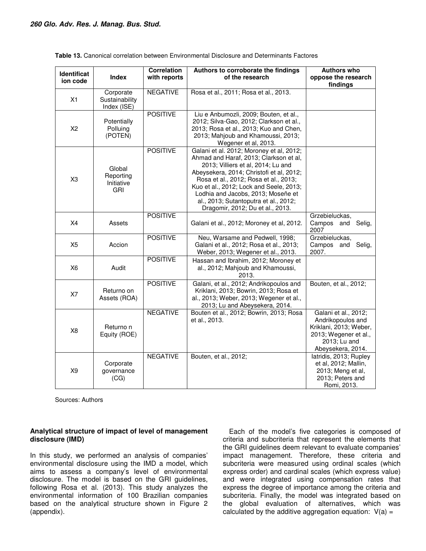| Identificat<br>ion code | <b>Index</b>                                    | <b>Correlation</b><br>with reports | Authors to corroborate the findings<br>of the research                                                                                                                                                                                                                                                                                                                      | <b>Authors who</b><br>oppose the research<br>findings                                                                             |
|-------------------------|-------------------------------------------------|------------------------------------|-----------------------------------------------------------------------------------------------------------------------------------------------------------------------------------------------------------------------------------------------------------------------------------------------------------------------------------------------------------------------------|-----------------------------------------------------------------------------------------------------------------------------------|
| X1                      | Corporate<br>Sustainability<br>Index (ISE)      | <b>NEGATIVE</b>                    | Rosa et al., 2011; Rosa et al., 2013.                                                                                                                                                                                                                                                                                                                                       |                                                                                                                                   |
| X <sub>2</sub>          | Potentially<br>Polluing<br>(POTEN)              | <b>POSITIVE</b>                    | Liu e Anbumozli, 2009; Bouten, et al.,<br>2012; Silva-Gao, 2012; Clarkson et al.,<br>2013; Rosa et al., 2013; Kuo and Chen,<br>2013; Mahjoub and Khamoussi, 2013;<br>Wegener et al, 2013.                                                                                                                                                                                   |                                                                                                                                   |
| X <sub>3</sub>          | Global<br>Reporting<br>Initiative<br><b>GRI</b> | <b>POSITIVE</b>                    | Galani et al. 2012; Moroney et al, 2012;<br>Ahmad and Haraf, 2013; Clarkson et al,<br>2013; Villiers et al, 2014; Lu and<br>Abeysekera, 2014; Christofi et al, 2012;<br>Rosa et al., 2012; Rosa et al., 2013;<br>Kuo et al., 2012; Lock and Seele, 2013;<br>Lodhia and Jacobs, 2013; Moseñe et<br>al., 2013; Sutantoputra et al., 2012;<br>Dragomir, 2012; Du et al., 2013. |                                                                                                                                   |
| X <sub>4</sub>          | Assets                                          | <b>POSITIVE</b>                    | Galani et al., 2012; Moroney et al, 2012.                                                                                                                                                                                                                                                                                                                                   | Grzebieluckas,<br>Selig,<br>Campos and<br>2007                                                                                    |
| X <sub>5</sub>          | Accion                                          | <b>POSITIVE</b>                    | Neu, Warsame and Pedwell, 1998;<br>Galani et al., 2012; Rosa et al., 2013;<br>Weber, 2013; Wegener et al., 2013.                                                                                                                                                                                                                                                            | Grzebieluckas,<br>Campos and<br>Selig,<br>2007.                                                                                   |
| <b>X6</b>               | Audit                                           | <b>POSITIVE</b>                    | Hassan and Ibrahim, 2012; Moroney et<br>al., 2012; Mahjoub and Khamoussi,<br>2013.                                                                                                                                                                                                                                                                                          |                                                                                                                                   |
| X7                      | Returno on<br>Assets (ROA)                      | <b>POSITIVE</b>                    | Galani, et al., 2012; Andrikopoulos and<br>Kriklani, 2013; Bowrin, 2013; Rosa et<br>al., 2013; Weber, 2013; Wegener et al.,<br>2013; Lu and Abeysekera, 2014.                                                                                                                                                                                                               | Bouten, et al., 2012;                                                                                                             |
| X <sub>8</sub>          | Returno n<br>Equity (ROE)                       | <b>NEGATIVE</b>                    | Bouten et al., 2012; Bowrin, 2013; Rosa<br>et al., 2013.                                                                                                                                                                                                                                                                                                                    | Galani et al., 2012;<br>Andrikopoulos and<br>Kriklani, 2013; Weber,<br>2013; Wegener et al.,<br>2013; Lu and<br>Abeysekera, 2014. |
| X <sub>9</sub>          | Corporate<br>governance<br>(CG)                 | <b>NEGATIVE</b>                    | Bouten, et al., 2012;                                                                                                                                                                                                                                                                                                                                                       | latridis, 2013; Rupley<br>et al, 2012; Mallin,<br>2013; Meng et al,<br>2013; Peters and<br>Romi, 2013.                            |

|  |  |  |  | <b>Table 13.</b> Canonical correlation between Environmental Disclosure and Determinants Factores |
|--|--|--|--|---------------------------------------------------------------------------------------------------|
|--|--|--|--|---------------------------------------------------------------------------------------------------|

Sources: Authors

## **Analytical structure of impact of level of management disclosure (IMD)**

In this study, we performed an analysis of companies' environmental disclosure using the IMD a model, which aims to assess a company's level of environmental disclosure. The model is based on the GRI guidelines, following Rosa et al. (2013). This study analyzes the environmental information of 100 Brazilian companies based on the analytical structure shown in Figure 2 (appendix).

Each of the model's five categories is composed of criteria and subcriteria that represent the elements that the GRI guidelines deem relevant to evaluate companies' impact management. Therefore, these criteria and subcriteria were measured using ordinal scales (which express order) and cardinal scales (which express value) and were integrated using compensation rates that express the degree of importance among the criteria and subcriteria. Finally, the model was integrated based on the global evaluation of alternatives, which was calculated by the additive aggregation equation:  $V(a) =$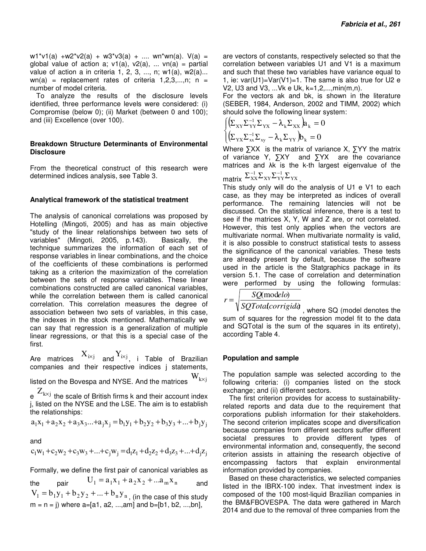w1\*v1(a) +w2\*v2(a) + w3\*v3(a) + .... wn\*wn(a).  $V(a)$  = global value of action a;  $v1(a)$ ,  $v2(a)$ , ...  $vn(a)$  = partial value of action a in criteria 1, 2, 3, ..., n;  $w1(a)$ ,  $w2(a)$ ...  $wn(a)$  = replacement rates of criteria 1,2,3,...,n; n = number of model criteria.

To analyze the results of the disclosure levels identified, three performance levels were considered: (i) Compromise (below 0); (ii) Market (between 0 and 100); and (iii) Excellence (over 100).

#### **Breakdown Structure Determinants of Environmental Disclosure**

From the theoretical construct of this research were determined indices analysis, see Table 3.

#### **Analytical framework of the statistical treatment**

The analysis of canonical correlations was proposed by Hotelling (Mingoti, 2005) and has as main objective "study of the linear relationships between two sets of variables" (Mingoti, 2005, p.143). Basically, the technique summarizes the information of each set of response variables in linear combinations, and the choice of the coefficients of these combinations is performed taking as a criterion the maximization of the correlation between the sets of response variables. These linear combinations constructed are called canonical variables, while the correlation between them is called canonical correlation. This correlation measures the degree of association between two sets of variables, in this case, the indexes in the stock mentioned. Mathematically we can say that regression is a generalization of multiple linear regressions, or that this is a special case of the first.

Are matrices  $\mathbf{X}_{\text{i} \times \text{j}}$  and  $\mathbf{Y}_{\text{i} \times \text{j}}$ , i Table of Brazilian companies and their respective indices j statements,

listed on the Bovespa and NYSE. And the matrices  $W_{k\times j}$ 

e  $\mathrm{Z}_{\mathrm{k} \times \mathrm{j}}$  the scale of British firms k and their account index j, listed on the NYSE and the LSE. The aim is to establish the relationships:

 $a_1x_1 + a_2x_2 + a_3x_3...+ a_1x_1 = b_1y_1 + b_2y_2 + b_3y_3 + ... + b_1y_1$ 

and

$$
c_1w_1 + c_2w_2 + c_3w_3 + \dots + c_jw_j = d_1z_1 + d_2z_2 + d_3z_3 + \dots + d_jz_j
$$

Formally, we define the first pair of canonical variables as

the pair  $U_1 = a_1 x_1 + a_2 x_2 + ... a_m x_n$  and  $V_1 = b_1 y_1 + b_2 y_2 + \ldots + b_n y_n$ , (in the case of this study  $m = n = j$ ) where a=[a1, a2, ..., am] and b=[b1, b2, ..., bn],

are vectors of constants, respectively selected so that the correlation between variables U1 and V1 is a maximum and such that these two variables have variance equal to 1, ie:  $var(U1)=Var(V1)=1$ . The same is also true for U2 e V2, U3 and V3, ...Vk e Uk, k=1,2,...,min(m,n).

For the vectors ak and bk, is shown in the literature (SEBER, 1984, Anderson, 2002 and TIMM, 2002) which should solve the following linear system:

$$
\begin{cases}\n\left(\sum_{XY}\sum_{YY}^{-1}\sum_{YX} - \lambda_k \sum_{XX}\right) a_k = 0 \\
\left(\sum_{YX}\sum_{xx}^{-1}\sum_{xy} - \lambda_k \sum_{YY}\right) b_k = 0\n\end{cases}
$$

Where ∑XX is the matrix of variance X, ∑YY the matrix of variance Y, ∑XY and ∑YX are the covariance matrices and λk is the k-th largest eigenvalue of the

$$
\text{matrix} \ \Sigma_{XX}^{-1} \Sigma_{XY} \Sigma_{YY}^{-1} \Sigma_{YX} \ .
$$

This study only will do the analysis of U1 e V1 to each case, as they may be interpreted as indices of overall performance. The remaining latencies will not be discussed. On the statistical inference, there is a test to see if the matrices X, Y, W and Z are, or not correlated. However, this test only applies when the vectors are multivariate normal. When multivariate normality is valid, it is also possible to construct statistical tests to assess the significance of the canonical variables. These tests are already present by default, because the software used in the article is the Statgraphics package in its version 5.1. The case of correlation and determination were performed by using the following formulas:

$$
r = \sqrt{\frac{SQ(\text{modelo})}{SQTotalcorrigid\rho}}
$$
, where SQ (model denotes the

sum of squares for the regression model fit to the data and SQTotal is the sum of the squares in its entirety), according Table 4.

#### **Population and sample**

The population sample was selected according to the following criteria: (i) companies listed on the stock exchange; and (ii) different sectors.

The first criterion provides for access to sustainabilityrelated reports and data due to the requirement that corporations publish information for their stakeholders. The second criterion implicates scope and diversification because companies from different sectors suffer different societal pressures to provide different types of environmental information and, consequently, the second criterion assists in attaining the research objective of encompassing factors that explain environmental information provided by companies.

Based on these characteristics, we selected companies listed in the IBRX-100 index. That investment index is composed of the 100 most-liquid Brazilian companies in the BM&FBOVESPA. The data were gathered in March 2014 and due to the removal of three companies from the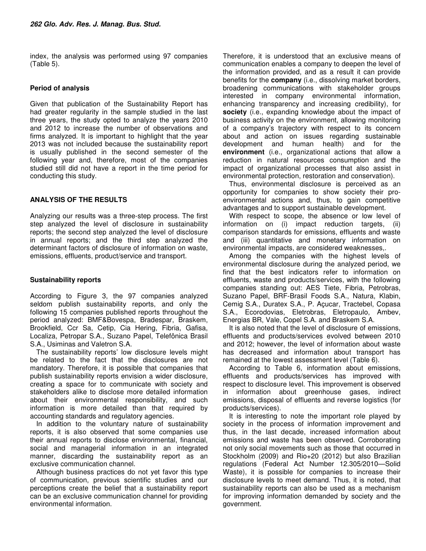index, the analysis was performed using 97 companies (Table 5).

## **Period of analysis**

Given that publication of the Sustainability Report has had greater regularity in the sample studied in the last three years, the study opted to analyze the years 2010 and 2012 to increase the number of observations and firms analyzed. It is important to highlight that the year 2013 was not included because the sustainability report is usually published in the second semester of the following year and, therefore, most of the companies studied still did not have a report in the time period for conducting this study.

## **ANALYSIS OF THE RESULTS**

Analyzing our results was a three-step process. The first step analyzed the level of disclosure in sustainability reports; the second step analyzed the level of disclosure in annual reports; and the third step analyzed the determinant factors of disclosure of information on waste, emissions, effluents, product/service and transport.

### **Sustainability reports**

According to Figure 3, the 97 companies analyzed seldom publish sustainability reports, and only the following 15 companies published reports throughout the period analyzed: BMF&Bovespa, Bradespar, Braskem, Brookfield, Ccr Sa, Cetip, Cia Hering, Fibria, Gafisa, Localiza, Petropar S.A., Suzano Papel, Telefônica Brasil S.A., Usiminas and Valetron S.A.

The sustainability reports' low disclosure levels might be related to the fact that the disclosures are not mandatory. Therefore, it is possible that companies that publish sustainability reports envision a wider disclosure, creating a space for to communicate with society and stakeholders alike to disclose more detailed information about their environmental responsibility, and such information is more detailed than that required by accounting standards and regulatory agencies.

In addition to the voluntary nature of sustainability reports, it is also observed that some companies use their annual reports to disclose environmental, financial, social and managerial information in an integrated manner, discarding the sustainability report as an exclusive communication channel.

Although business practices do not yet favor this type of communication, previous scientific studies and our perceptions create the belief that a sustainability report can be an exclusive communication channel for providing environmental information.

Therefore, it is understood that an exclusive means of communication enables a company to deepen the level of the information provided, and as a result it can provide benefits for the **company** (i.e., dissolving market borders, broadening communications with stakeholder groups interested in company environmental information, enhancing transparency and increasing credibility), for **society** (i.e., expanding knowledge about the impact of business activity on the environment, allowing monitoring of a company's trajectory with respect to its concern about and action on issues regarding sustainable development and human health) and for the **environment** (i.e., organizational actions that allow a reduction in natural resources consumption and the impact of organizational processes that also assist in environmental protection, restoration and conservation).

Thus, environmental disclosure is perceived as an opportunity for companies to show society their proenvironmental actions and, thus, to gain competitive advantages and to support sustainable development.

With respect to scope, the absence or low level of information on (i) impact reduction targets, (ii) comparison standards for emissions, effluents and waste and (iii) quantitative and monetary information on environmental impacts, are considered weaknesses,.

Among the companies with the highest levels of environmental disclosure during the analyzed period, we find that the best indicators refer to information on effluents, waste and products/services, with the following companies standing out: AES Tiete, Fibria, Petrobras, Suzano Papel, BRF-Brasil Foods S.A., Natura, Klabin, Cemig S.A., Duratex S.A., P. Açucar, Tractebel, Copasa S.A., Ecorodovias, Eletrobras, Eletropaulo, Ambev, Energias BR, Vale, Copel S.A. and Braskem S.A.

It is also noted that the level of disclosure of emissions, effluents and products/services evolved between 2010 and 2012; however, the level of information about waste has decreased and information about transport has remained at the lowest assessment level (Table 6).

According to Table 6, information about emissions, effluents and products/services has improved with respect to disclosure level. This improvement is observed in information about greenhouse gases, indirect emissions, disposal of effluents and reverse logistics (for products/services).

It is interesting to note the important role played by society in the process of information improvement and thus, in the last decade, increased information about emissions and waste has been observed. Corroborating not only social movements such as those that occurred in Stockholm (2009) and Rio+20 (2012) but also Brazilian regulations (Federal Act Number 12.305/2010—Solid Waste), it is possible for companies to increase their disclosure levels to meet demand. Thus, it is noted, that sustainability reports can also be used as a mechanism for improving information demanded by society and the government.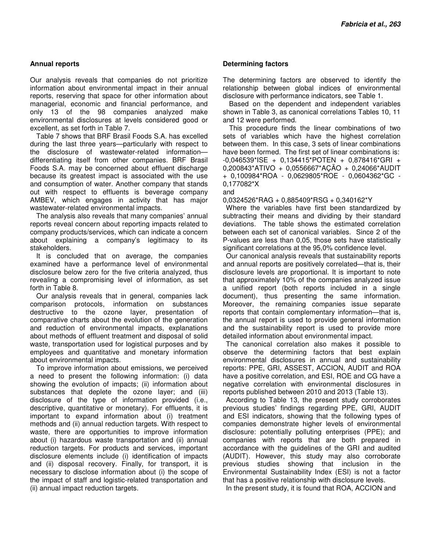### **Annual reports**

Our analysis reveals that companies do not prioritize information about environmental impact in their annual reports, reserving that space for other information about managerial, economic and financial performance, and only 13 of the 98 companies analyzed make environmental disclosures at levels considered good or excellent, as set forth in Table 7.

Table 7 shows that BRF Brasil Foods S.A. has excelled during the last three years—particularly with respect to the disclosure of wastewater-related information differentiating itself from other companies. BRF Brasil Foods S.A. may be concerned about effluent discharge because its greatest impact is associated with the use and consumption of water. Another company that stands out with respect to effluents is beverage company AMBEV, which engages in activity that has major wastewater-related environmental impacts.

The analysis also reveals that many companies' annual reports reveal concern about reporting impacts related to company products/services, which can indicate a concern about explaining a company's legitimacy to its stakeholders.

It is concluded that on average, the companies examined have a performance level of environmental disclosure below zero for the five criteria analyzed, thus revealing a compromising level of information, as set forth in Table 8.

Our analysis reveals that in general, companies lack comparison protocols, information on substances destructive to the ozone layer, presentation of comparative charts about the evolution of the generation and reduction of environmental impacts, explanations about methods of effluent treatment and disposal of solid waste, transportation used for logistical purposes and by employees and quantitative and monetary information about environmental impacts.

To improve information about emissions, we perceived a need to present the following information: (i) data showing the evolution of impacts; (ii) information about substances that deplete the ozone layer; and (iii) disclosure of the type of information provided (i.e., descriptive, quantitative or monetary). For effluents, it is important to expand information about (i) treatment methods and (ii) annual reduction targets. With respect to waste, there are opportunities to improve information about (i) hazardous waste transportation and (ii) annual reduction targets. For products and services, important disclosure elements include (i) identification of impacts and (ii) disposal recovery. Finally, for transport, it is necessary to disclose information about (i) the scope of the impact of staff and logistic-related transportation and (ii) annual impact reduction targets.

#### **Determining factors**

The determining factors are observed to identify the relationship between global indices of environmental disclosure with performance indicators, see Table 1.

Based on the dependent and independent variables shown in Table 3, as canonical correlations Tables 10, 11 and 12 were performed.

This procedure finds the linear combinations of two sets of variables which have the highest correlation between them. In this case, 3 sets of linear combinations have been formed. The first set of linear combinations is: -0,046539\*ISE + 0,134415\*POTEN + 0,878416\*GRI + 0,200843\*ATIVO + 0,0556667\*AÇÃO + 0,24066\*AUDIT + 0,100984\*ROA - 0,0629805\*ROE - 0,0604362\*GC - 0,177082\*X

#### and

0,0324526\*RAG + 0,885409\*RSG + 0,340162\*Y

Where the variables have first been standardized by subtracting their means and dividing by their standard deviations. The table shows the estimated correlation between each set of canonical variables. Since 2 of the P-values are less than 0,05, those sets have statistically significant correlations at the 95,0% confidence level.

Our canonical analysis reveals that sustainability reports and annual reports are positively correlated—that is, their disclosure levels are proportional. It is important to note that approximately 10% of the companies analyzed issue a unified report (both reports included in a single document), thus presenting the same information. Moreover, the remaining companies issue separate reports that contain complementary information—that is, the annual report is used to provide general information and the sustainability report is used to provide more detailed information about environmental impact.

The canonical correlation also makes it possible to observe the determining factors that best explain environmental disclosures in annual and sustainability reports: PPE, GRI, ASSEST, ACCION, AUDIT and ROA have a positive correlation, and ESI, ROE and CG have a negative correlation with environmental disclosures in reports published between 2010 and 2013 (Table 13).

According to Table 13, the present study corroborates previous studies' findings regarding PPE, GRI, AUDIT and ESI indicators, showing that the following types of companies demonstrate higher levels of environmental disclosure: potentially polluting enterprises (PPE); and companies with reports that are both prepared in accordance with the guidelines of the GRI and audited (AUDIT). However, this study may also corroborate previous studies showing that inclusion in the Environmental Sustainability Index (ESI) is not a factor that has a positive relationship with disclosure levels.

In the present study, it is found that ROA, ACCION and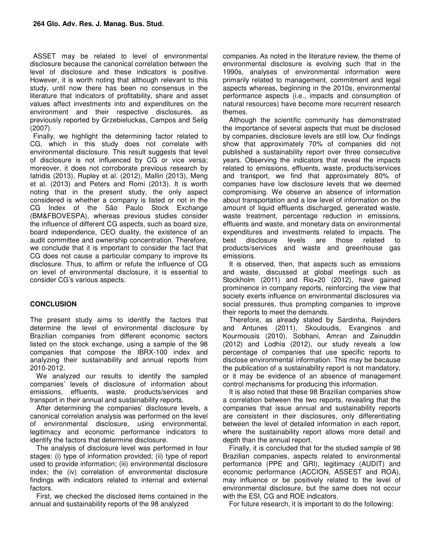ASSET may be related to level of environmental disclosure because the canonical correlation between the level of disclosure and these indicators is positive. However, it is worth noting that although relevant to this study, until now there has been no consensus in the literature that indicators of profitability, share and asset values affect investments into and expenditures on the environment and their respective disclosures, as previously reported by Grzebieluckas, Campos and Selig (2007).

Finally, we highlight the determining factor related to CG, which in this study does not correlate with environmental disclosure. This result suggests that level of disclosure is not influenced by CG or vice versa; moreover, it does not corroborate previous research by Iatridis (2013), Rupley et al. (2012), Mallin (2013), Meng et al. (2013) and Peters and Romi (2013). It is worth noting that in the present study, the only aspect considered is whether a company is listed or not in the CG Index of the São Paulo Stock Exchange (BM&FBOVESPA), whereas previous studies consider the influence of different CG aspects, such as board size, board independence, CEO duality, the existence of an audit committee and ownership concentration. Therefore, we conclude that it is important to consider the fact that CG does not cause a particular company to improve its disclosure. Thus, to affirm or refute the influence of CG on level of environmental disclosure, it is essential to consider CG's various aspects.

## **CONCLUSION**

The present study aims to identify the factors that determine the level of environmental disclosure by Brazilian companies from different economic sectors listed on the stock exchange, using a sample of the 98 companies that compose the IBRX-100 index and analyzing their sustainability and annual reports from 2010-2012.

We analyzed our results to identify the sampled companies' levels of disclosure of information about emissions, effluents, waste, products/services and transport in their annual and sustainability reports.

After determining the companies' disclosure levels, a canonical correlation analysis was performed on the level of environmental disclosure, using environmental, legitimacy and economic performance indicators to identify the factors that determine disclosure.

The analysis of disclosure level was performed in four stages: (i) type of information provided; (ii) type of report used to provide information; (iii) environmental disclosure index; the (iv) correlation of environmental disclosure findings with indicators related to internal and external factors.

First, we checked the disclosed items contained in the annual and sustainability reports of the 98 analyzed

companies. As noted in the literature review, the theme of environmental disclosure is evolving such that in the 1990s, analyses of environmental information were primarily related to management, commitment and legal aspects whereas, beginning in the 2010s, environmental performance aspects (i.e., impacts and consumption of natural resources) have become more recurrent research themes.

Although the scientific community has demonstrated the importance of several aspects that must be disclosed by companies, disclosure levels are still low. Our findings show that approximately 70% of companies did not published a sustainability report over three consecutive years. Observing the indicators that reveal the impacts related to emissions, effluents, waste, products/services and transport, we find that approximately 80% of companies have low disclosure levels that we deemed compromising. We observe an absence of information about transportation and a low level of information on the amount of liquid effluents discharged, generated waste, waste treatment, percentage reduction in emissions, effluents and waste, and monetary data on environmental expenditures and investments related to impacts. The best disclosure levels are those related to products/services and waste and greenhouse gas emissions.

It is observed, then, that aspects such as emissions and waste, discussed at global meetings such as Stockholm (2011) and Rio+20 (2012), have gained prominence in company reports, reinforcing the view that society exerts influence on environmental disclosures via social pressures, thus prompting companies to improve their reports to meet the demands.

Therefore, as already stated by Sardinha, Reijnders and Antunes (2011), Skouloudis, Evanginos and Kourmousis (2010), Sobhani, Amran and Zainuddin (2012) and Lodhia (2012), our study reveals a low percentage of companies that use specific reports to disclose environmental information. This may be because the publication of a sustainability report is not mandatory, or it may be evidence of an absence of management control mechanisms for producing this information.

It is also noted that these 98 Brazilian companies show a correlation between the two reports, revealing that the companies that issue annual and sustainability reports are consistent in their disclosures, only differentiating between the level of detailed information in each report, where the sustainability report allows more detail and depth than the annual report.

Finally, it is concluded that for the studied sample of 98 Brazilian companies, aspects related to environmental performance (PPE and GRI), legitimacy (AUDIT) and economic performance (ACCION, ASSEST and ROA), may influence or be positively related to the level of environmental disclosure, but the same does not occur with the ESI, CG and ROE indicators.

For future research, it is important to do the following: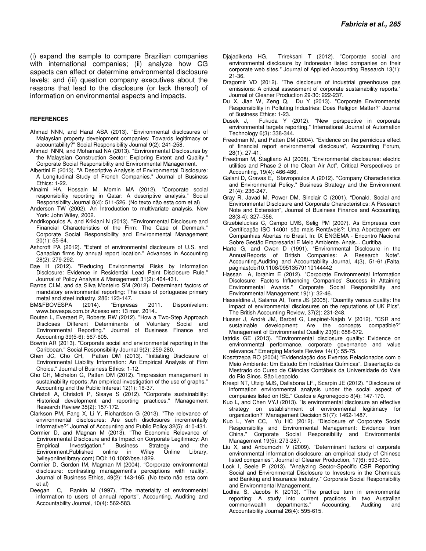(i) expand the sample to compare Brazilian companies with international companies; (ii) analyze how CG aspects can affect or determine environmental disclosure levels; and (iii) question company executives about the reasons that lead to the disclosure (or lack thereof) of information on environmental aspects and impacts.

#### **REFERENCES**

- Ahmad NNN, and Haraf ASA (2013). "Environmental disclosures of Malaysian property development companies: Towards legitimacy or accountability?" Social Responsibility Journal 9(2): 241-258.
- Ahmad NNN, and Mohamad NA (2013). "Environmental Disclosures by the Malaysian Construction Sector: Exploring Extent and Quality." Corporate Social Responsibility and Environmental Management.
- Albertini E (2013). "A Descriptive Analysis of Environmental Disclosure: A Longitudinal Study of French Companies." Journal of Business Ethics: 1-22.
- Alnaimi HA, Hossain M. Momin MA (2012). "Corporate social responsibility reporting in Qatar: A descriptive analysis." Social Responsibility Journal 8(4): 511-526. (No texto não esta com et al)
- Anderson TW (2002). An Introduction to multivariate analysis. New York: John Wiley, 2002.
- Andrikopoulos A, and Kriklani N (2013). "Environmental Disclosure and Financial Characteristics of the Firm: The Case of Denmark." Corporate Social Responsibility and Environmental Management 20(1): 55-64.
- Ashcroft PA (2012). "Extent of environmental disclosure of U.S. and Canadian firms by annual report location." Advances in Accounting 28(2): 279-292.
- Bae H (2012). "Reducing Environmental Risks by Information Disclosure: Evidence in Residential Lead Paint Disclosure Rule." Journal of Policy Analysis & Management 31(2): 404-431.
- Barros CLM, and da Silva Monteiro SM (2012). Determinant factors of mandatory environmental reporting: The case of portuguese primary metal and steel industry. 286: 123-147.
- BM&FBOVESPA (2014). "Empresas 2011. Disponívelem: www.bovespa.com.br Acesso em: 13 mar. 2014..
- Bouten L, Everaert P, Roberts RW (2012). "How a Two-Step Approach Discloses Different Determinants of Voluntary Social and Environmental Reporting." Journal of Business Finance and Accounting 39(5-6): 567-605.
- Bowrin AR (2013). "Corporate social and environmental reporting in the Caribbean." Social Responsibility Journal 9(2): 259-280.
- Chen JC, Cho CH, Patten DM (2013). "Initiating Disclosure of Environmental Liability Information: An Empirical Analysis of Firm Choice." Journal of Business Ethics: 1-12.
- Cho CH, Michelon G, Patten DM (2012). "Impression management in sustainability reports: An empirical investigation of the use of graphs." Accounting and the Public Interest 12(1): 16-37.
- Christofi A, Christofi P, Sisaye S (2012). "Corporate sustainability: Historical development and reporting practices." Management Research Review 35(2): 157-172.
- Clarkson PM, Fang X, Li Y, Richardson G (2013). "The relevance of environmental disclosures: Are such disclosures incrementally informative?" Journal of Accounting and Public Policy 32(5): 410-431.
- Cormier D, and Magnan M (2013). "The Economic Relevance of Environmental Disclosure and its Impact on Corporate Legitimacy: An Empirical Investigation." Business Strategy and the Environment.Published online in Wiley Online Library, (wileyonlinelibrary.com) DOI: 10.1002/bse.1829.
- Cormier D, Gordon IM, Magman M (2004). "Corporate environmental disclosure: contrasting management's perceptions with reality", Journal of Business Ethics, 49(2): 143-165. (No texto não esta com et al)
- Deegan C, Rankin M (1997), "The materiality of environmental information to users of annual reports", Accounting, Auditing and Accountability Journal, 10(4): 562-583.
- Djajadikerta HG, Trireksani T (2012). "Corporate social and environmental disclosure by Indonesian listed companies on their corporate web sites." Journal of Applied Accounting Research 13(1): 21-36.
- Dragomir VD (2012). "The disclosure of industrial greenhouse gas emissions: A critical assessment of corporate sustainability reports." Journal of Cleaner Production 29-30: 222-237.
- Du X, Jian W, Zeng Q, Du Y (2013). "Corporate Environmental Responsibility in Polluting Industries: Does Religion Matter?" Journal of Business Ethics: 1-23.
- Dusek J, Fukuda Y (2012). "New perspective in corporate environmental targets reporting." International Journal of Automation Technology 6(3): 338-344.
- Freedman M, and Patten DM (2004). "Evidence on the pernicious effect of financial report environmental disclosure", Accounting Forum, 28(1): 27-41.
- Freedman M, Stagliano AJ (2008). "Environmental disclosures: electric utilities and Phase 2 of the Clean Air Act", Critical Perspectives on Accounting, 19(4): 466-486.
- Galani D, Gravas E, Stavropoulos A (2012). "Company Characteristics and Environmental Policy." Business Strategy and the Environment 21(4): 236-247.
- Gray R, Javad M, Power DM, Sinclair C (2001). "Donald. Social and Environmental Disclosure and Corporate Characteristics: A Research Note and Extension", Journal of Business Finance and Accounting, 28(3-4): 327–356.
- Grzebieluckas C, Campo LMS, Selig PM (2007). As Empresas com Certificação ISO 14001 são mais Rentáveis?: Uma Abordagem em Companhias Abertas no Brasil. In: IX ENGEMA - Encontro Nacional Sobre Gestão Empresarial E Meio Ambiente. Anais... Curitiba.
- Harte G, and Owen D (1991). "Environmental Disclosure in the AnnualReports of British Companies: A Research Note". Accounting,Auditing and Accountability Journal, 4(3), 51-61.(Falta, páginas)doi10.1108/09513579110144442
- Hassan A, Ibrahim E (2012). "Corporate Environmental Information Disclosure: Factors Influencing Companies' Success in Attaining Environmental Awards." Corporate Social Responsibility and Environmental Management 19(1): 32-46.
- Hasseldine J, Salama AI, Toms JS (2005). "Quantity versus quality: the impact of environmental disclosures on the reputations of UK Plcs", The British Accounting Review, 37(2): 231-248.
- Husser J, André JM, Barbat G, Lespinet-Najab V (2012). "CSR and sustainable development: Are the concepts compatible?" Management of Environmental Quality 23(6): 658-672.
- Iatridis GE (2013). "Environmental disclosure quality: Evidence on environmental performance, corporate governance and value relevance." Emerging Markets Review 14(1): 55-75.
- Kosztrzepa RO (2004) "Evidenciação dos Eventos Relacionados com o Meio Ambiente: Um Estudo Em Indústrias Químicas". Dissertação de Mestrado do Curso de Ciências Contábeis da Universidade do Vale do Rio Sinos. São Leopoldo.
- Krespi NT, Utzig MJS, Dallabona LF., Scarpin JE (2012). "Disclosure of information environmental analysis under the social aspect of companies listed on ISE." Custos e Agronegocio 8(4): 147-170.
- Kuo L, and Chen VYJ (2013). "Is environmental disclosure an effective strategy on establishment of environmental legitimacy for organization?" Management Decision 51(7): 1462-1487.
- Kuo L, Yeh CC, Yu HC (2012). "Disclosure of Corporate Social Responsibility and Environmental Management: Evidence from China." Corporate Social Responsibility and Environmental Management 19(5): 273-287.
- Liu X, and Anbumozhi V (2009). "Determinant factors of corporate environmental information disclosure: an empirical study of Chinese listed companies", Journal of Cleaner Production, 17(6): 593-600.
- Lock I, Seele P (2013). "Analyzing Sector-Specific CSR Reporting: Social and Environmental Disclosure to Investors in the Chemicals and Banking and Insurance Industry." Corporate Social Responsibility and Environmental Management.
- Lodhia S, Jacobs K (2013). "The practice turn in environmental reporting: A study into current practices in two Australian commonwealth departments." Accounting, Auditing and Accountability Journal 26(4): 595-615.